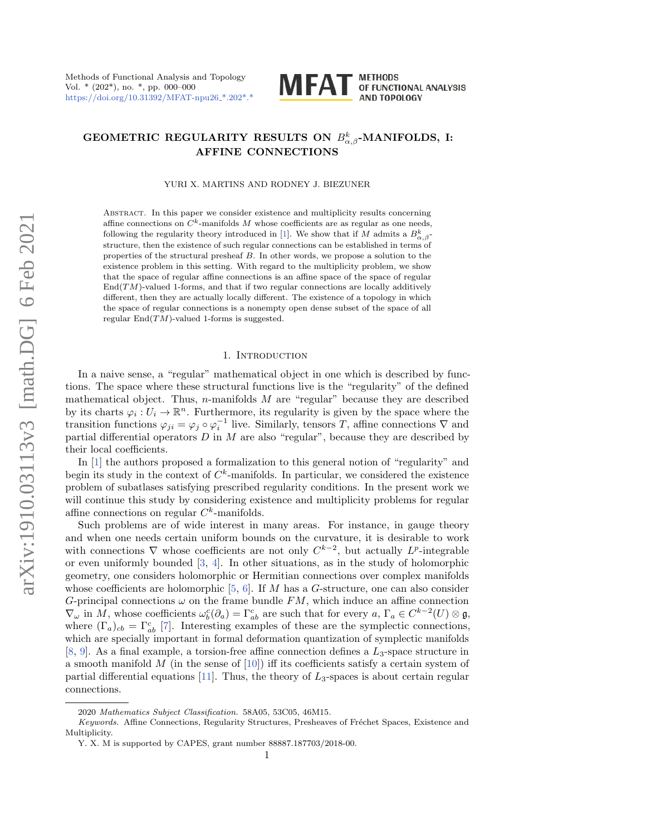

# GEOMETRIC REGULARITY RESULTS ON  $B^k_{\alpha, \beta}$ -MANIFOLDS, I: AFFINE CONNECTIONS

YURI X. MARTINS AND RODNEY J. BIEZUNER

Abstract. In this paper we consider existe[nce](#page-19-0) and multiplicity results concerning affine connections on  $C^k$ -manifolds M whose coefficients are as regular as one needs, following the regularity theory introduced in [1]. We show that if M admits a  $B^k_{\alpha,\beta}$ structure, then the existence of such regular connections can be established in terms of properties of the structural presheaf B. In other words, we propose a solution to the existence problem in this setting. With regard to the multiplicity problem, we show that the space of regular affine connections is an affine space of the space of regular  $\text{End}(TM)$ -valued 1-forms, and that if two regular connections are locally additively different, then they are actually locally different. The existence of a topology in which the space of regular connections is a nonempty open dense subset of the space of all regular  $End(TM)$ -valued 1-forms is suggested.

### 1. INTRODUCTION

In a naive sense, a "regular" mathematical object in one which is described by functions. The space where these structural functions live is the "regularity" of the defined mathematical object. Thus, n-manifolds  $M$  are "regular" because they are described by its charts  $\varphi_i : U_i \to \mathbb{R}^n$ . Furthermore, its regularity is given by the space where the transition functions  $\varphi_{ji} = \varphi_j \circ \varphi_i^{-1}$  live. Similarly, tensors T, affine connections  $\nabla$  and parti[al d](#page-19-0)ifferential operators  $D$  in  $M$  are also "regular", because they are described by their local coefficients.

In  $[1]$  the authors proposed a formalization to this general notion of "regularity" and begin its study in the context of  $C^k$ -manifolds. In particular, we considered the existence problem of subatlases satisfying prescribed regularity conditions. In the present work we will continue this study by considering existence and multiplicity problems for regular affine connections on regular  $C<sup>k</sup>$ -manifolds.

Such problems are of wide interest in many areas. For instance, in gauge theory and when one needs certain [u](#page-19-1)[nif](#page-19-2)orm bounds on the curvature, it is desirable to work with connections  $\nabla$  whose coefficients are not only  $C^{k-2}$ , but actually  $L^p$ -integrable or even uniformly bounded [3, 4]. [In](#page-19-3) [ot](#page-20-0)her situations, as in the study of holomorphic geometry, one considers holomorphic or Hermitian connections over complex manifolds whose coefficients are holomorphic  $[5, 6]$ . If M has a G-structure, one can also consider G-principal c[on](#page-20-1)nections  $\omega$  on the frame bundle FM, which induce an affine connection  $\nabla_\omega$  in M, whose coefficients  $\omega_b^c(\partial_a) = \Gamma_{ab}^c$  are such that for every  $a, \Gamma_a \in C^{k-2}(U) \otimes \mathfrak{g},$ [wh](#page-20-2)[er](#page-20-3)e  $(\Gamma_a)_{cb} = \Gamma^c_{ab}$  [7]. Interesting examples of these are the symplectic connections, which are specially important in formal [def](#page-20-4)ormation quantization of symplectic manifolds  $[8, 9]$  $[8, 9]$  $[8, 9]$ . As a final example, a t[orsi](#page-20-5)on-free affine connection defines a  $L_3$ -space structure in a smooth manifold  $M$  (in the sense of [10]) iff its coefficients satisfy a certain system of partial differential equations [11]. Thus, the theory of  $L_3$ -spaces is about certain regular connections.

<sup>2020</sup> Mathematics Subject Classification. 58A05, 53C05, 46M15.

Keywords. Affine Connections, Regularity Structures, Presheaves of Fréchet Spaces, Existence and Multiplicity.

Y. X. M is supported by CAPES, grant number 88887.187703/2018-00.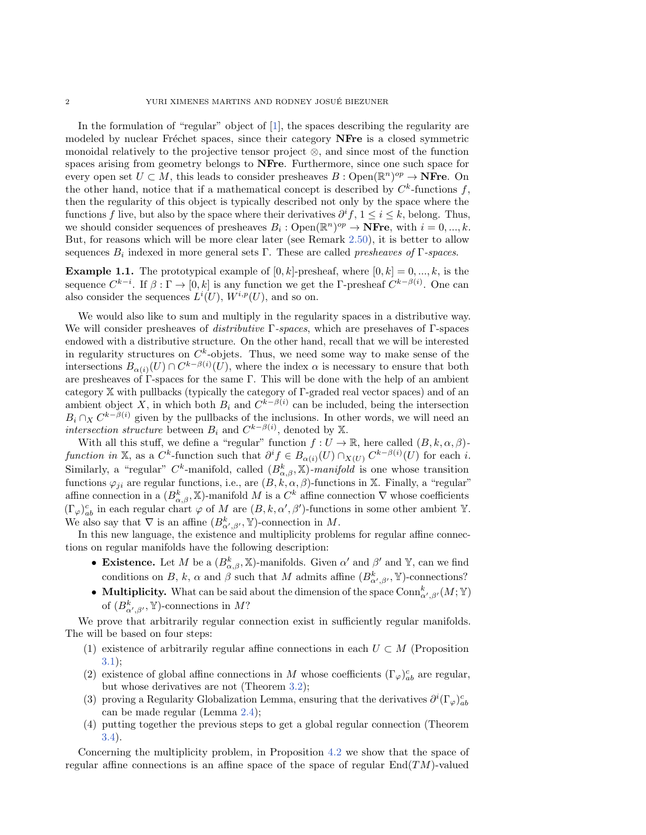In the formulation of "regular" object of  $[1]$ , the spaces describing the regularity are modeled by nuclear Fréchet spaces, since their category NFre is a closed symmetric monoidal relatively to the projective tensor project  $\otimes$ , and since most of the function spaces arising from geometry belongs to NFre. Furthermore, since one such space for every open set  $U \subset M$ , this leads to consider presheaves  $B : \mathrm{Open}(\mathbb{R}^n)^{op} \to \mathbf{NFre}$ . On the other hand, notice that if a mathematical concept is described by  $C^k$ -functions f, then the regularity of this object is typically described not only by the space where the functions f live, but also by the space where their derivatives  $\partial^i f$ ,  $1 \leq i \leq k$ , belong. Thus, we should consider sequences of presheaves  $B_i : \mathrm{Open}(\mathbb{R}^n)^{op} \to \mathbf{NFre}, \text{ with } i = 0, ..., k.$ But, for reasons which will be more clear later (see Remark 2.50), it is better to allow sequences  $B_i$  indexed in more general sets  $\Gamma$ . These are called *presheaves of*  $\Gamma$ -spaces.

**Example 1.1.** The prototypical example of  $[0, k]$ -presheaf, where  $[0, k] = 0, ..., k$ , is the sequence  $C^{k-i}$ . If  $\beta : \Gamma \to [0, k]$  is any function we get the  $\Gamma$ -presheaf  $C^{k-\beta(i)}$ . One can also consider the sequences  $L^{i}(U)$ ,  $W^{i,p}(U)$ , and so on.

We would also like to sum and multiply in the regularity spaces in a distributive way. We will consider presheaves of *distributive*  $\Gamma$ -spaces, which are presenaves of  $\Gamma$ -spaces endowed with a distributive structure. On the other hand, recall that we will be interested in regularity structures on  $C^k$ -objets. Thus, we need some way to make sense of the intersections  $B_{\alpha (i)}(U) \cap C^{k-\beta (i)}(U)$ , where the index  $\alpha$  is necessary to ensure that both are presheaves of  $\Gamma$ -spaces for the same  $\Gamma$ . This will be done with the help of an ambient category  $\mathbb X$  with pullbacks (typically the category of  $\Gamma$ -graded real vector spaces) and of an ambient object X, in which both  $B_i$  and  $C^{k-\beta(i)}$  can be included, being the intersection  $B_i \cap_X C^{k-\beta(i)}$  given by the pullbacks of the inclusions. In other words, we will need an intersection structure between  $B_i$  and  $C^{k-\beta(i)}$ , denoted by X.

With all this stuff, we define a "regular" function  $f : U \rightarrow \Bbb{R}$ , here called  $(B, k, \alpha, \beta)$ function in X, as a  $C^k$ -function such that  $\partial^i f \in B_{\alpha(i)}(U) \cap_{X(U)} C^{k - \beta(i)}(U)$  for each i. Similarly, a "regular"  $C^k$ -manifold, called  $(B^k_{\alpha,\beta}, \mathbb{X})$ -manifold is one whose transition functions  $\varphi_{ji}$  are regular functions, i.e., are  $(B, k, \alpha, \beta)$ -functions in X. Finally, a "regular" affine connection in a  $(B_{\alpha, \beta}^k, \mathbb{X})$ -manifold M is a  $C^k$  affine connection  $\nabla$  whose coefficients  $(\Gamma \varphi )_{ab}^c$  in each regular chart  $\varphi$  of M are  $(B, k, \alpha', \beta')$ -functions in some other ambient Y. We also say that  $\nabla$  is an affine  $(B_{\alpha', \beta'}^k, \mathbb{Y})$ -connection in M.

In this new language, the existence and multiplicity problems for regular affine connections on regular manifolds have the following description:

- **Existence.** Let M be a  $(B^k_{\alpha, \beta}, \mathbb{X})$ -manifolds. Given  $\alpha'$  and  $\beta'$  and  $\mathbb{Y}$ , can we find conditions on B, k,  $\alpha$  and  $\beta$  such that M admits affine  $(B^k_{\alpha', \beta'}, \mathbb{Y})$ -connections?
- $\bullet$  Multiplicity. What can be said about the dimension of the space  $\mathrm{Conn}^k_{\alpha',\beta'}(M; \mathbb Y )$ of  $(B^k_{\alpha',\beta'}, \mathbb{Y})$ -connections in M?

We prove that arbitrarily regular connection exist in sufficiently regular manifolds. The wil[l be](#page-15-0) based on four steps:

- (1) existence of arbitrarily regular affine connections in each  $U \subset M$  (Proposition 3.1);
- (2) existence of global affine connections in  $M$  whose coefficients  $(\Gamma_{\varphi})_{ab}^c$  are regular, but whose derivatives are not [\(Th](#page-13-0)eorem 3.2);
- (3) proving a Regularity Globalization Lemma, ensuring that the derivatives  $\partial^i (\Gamma_\varphi)_{ab}^c$ [can](#page-16-0) be made regular (Lemma 2.4);
- (4) putting together the previous steps to get a glob[al re](#page-18-0)gular connection (Theorem 3.4).

Concerning the multiplicity problem, in Proposition 4.2 we show that the space of regular affine connections is an affine space of the space of regular  $\text{End}(TM)$ -valued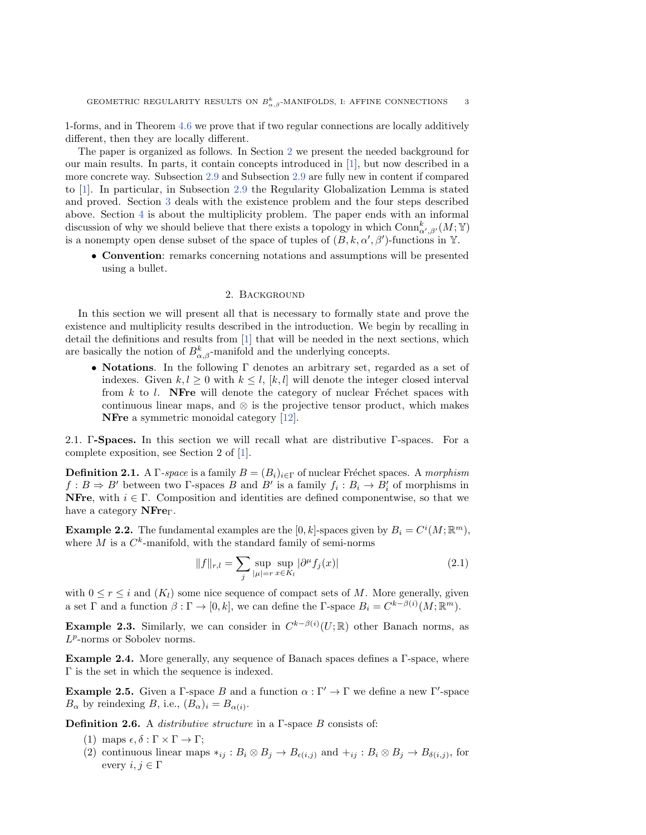1-forms, and in Theorem 4.6 we prove that if two [re](#page-2-0)gular connections are locally additively different, then they are locally different.

The paper is organized asf[ollow](#page-10-0)s. In Section 2 [we](#page-10-0) present the needed background for our [m](#page-19-0)ain results. In parts, it contai[n con](#page-10-0)cepts introduced in [1], but now described in a more concrete way. S[ubs](#page-14-0)ection 2.9 and Subsection 2.9 are fully new in content if compared to [1]. In parti[cu](#page-17-0)lar, in Subsection 2.9 the Regularity Globalization Lemma is stated and proved. Section 3 deals with the existence problem and the four steps described above. Section 4 is about the multiplicity problem. The paper ends with an informal discussion of why we should believe that there exists a topology in which  $\text{Conn}^k_{\alpha', \beta'}(M; \mathbb{Y})$ is a nonempty open dense subset of the space of tuples of  $(B, k, \alpha', \beta')$ -functions in Y.

<span id="page-2-0"></span>\bullet Convention: remarks concerning notations and assumptions will be presented using a bullet.

### 2. Background

In this section we will present allt[ha](#page-19-0)t is necessary to formally state and prove the existence and multiplicity results described in the introduction. We begin by recalling in detail the definitions and results from [1] that will be needed in the next sections, which are basically the notion of  $B^k_{\alpha,\beta}$ -manifold and the underlying concepts.

 $\bullet$  Notations. In the following  $\Gamma$  denotes an arbitrary set, regarded as a set of indexes. Given  $k, l \geq 0$  with  $k \leq l$ ,  $[k, l]$  will denote the integer closed interval from  $k$  to  $l$ . NFre will denote the [cate](#page-20-6)gory of nuclear Fréchet spaces with continuous linear maps, and  $\otimes$  is the projective tensor product, which makes NFre a symmetric monoidal category [12].

2.1.  $\Gamma$ -Spaces. In this section we will recall what are distributive  $\Gamma$ -spaces. For a complete exposition, see Section 2 of [1].

**Definition 2.1.** A  $\Gamma$ -space is a family  $B = (B_i)_{i\in \Gamma}$  of nuclear Fréchet spaces. A morphism  $f : B \Rightarrow B'$  between two  $\Gamma$ -spaces B and B' is a family  $f_i : B_i \rightarrow B'_i$  of morphisms in **NFre**, with  $i \in \Gamma$ . Composition and identities are defined componentwise, so that we have a category  $NFre<sub>Γ</sub>$ .

<span id="page-2-1"></span>**Example 2.2.** The fundamental examples are the  $[0, k]$ -spaces given by  $B_i = C^i(M; \mathbb{R}^m)$ , where M is a  $C^k$ -manifold, with the standard family of semi-norms

<span id="page-2-3"></span>
$$
||f||_{r,l} = \sum_{j} \sup_{|\mu|=r} \sup_{x \in K_l} |\partial^{\mu} f_j(x)| \tag{2.1}
$$

with  $0 \leq r \leq i$  and  $(K_l)$  some nice sequence of compact sets of M. More generally, given a set  $\Gamma$  and a function  $\beta : \Gamma \rightarrow [0, k]$ , we can define the  $\Gamma$ -space  $B_i = C^{k - \beta(i)}(M; \mathbb{R}^m)$ .

**Example 2.3.** Similarly, we can consider in  $C^{k-\beta(i)}(U;\mathbb{R})$  other Banach norms, as  $L^p$ -norms or Sobolev norms.

<span id="page-2-2"></span>**Example 2.4.** More generally, any sequence of Banach spaces defines a  $\Gamma$ -space, where  $\Gamma$  is the set in which the sequence is indexed.

**Example 2.5.** Given a  $\Gamma$ -space B and a function  $\alpha : \Gamma' \rightarrow \Gamma$  we define a new  $\Gamma'$ -space  $B_\alpha$  by reindexing B, i.e.,  $(B_\alpha )_i = B_{\alpha (i)}$ .

**Definition 2.6.** A *distributive structure* in a  $\Gamma$ -space B consists of:

- (1) maps  $\epsilon, \delta : \Gamma \times \Gamma \to \Gamma$ ;
- (2) continuous linear maps  $*_{ij}$ :  $B_i \otimes B_j \rightarrow B_{\epsilon (i,j)}$  and  $+_ij$ :  $B_i \otimes B_j \rightarrow B_{\delta (i,j)}$ , for every  $i, j \in \Gamma$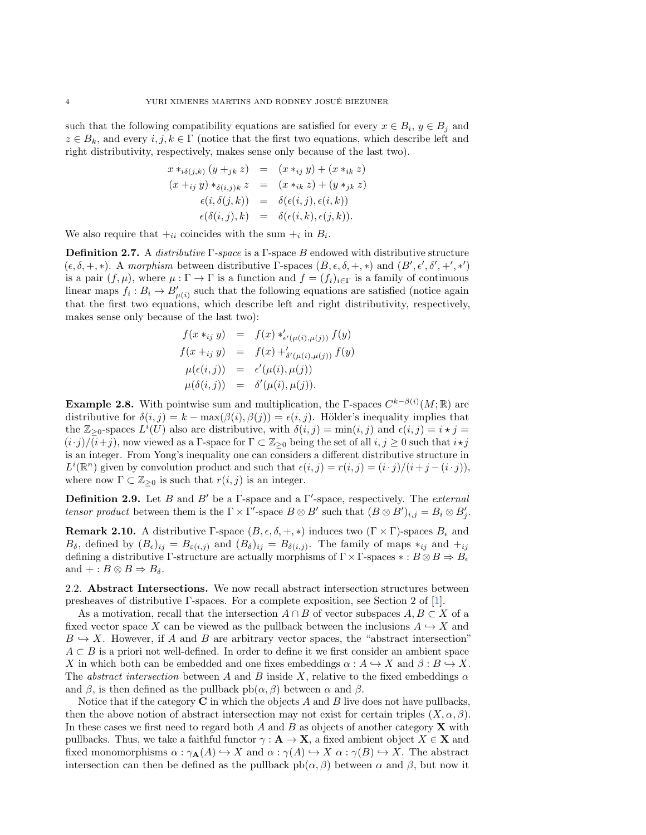such that the following compatibility equations are satisfied for every  $x \in B_i$ ,  $y \in B_j$  and  $z \in B_k$ , and every  $i, j, k \in \Gamma$  (notice that the first two equations, which describe left and right distributivity, respectively, makes sense only because of the last two).

$$
x *_{i\delta(j,k)} (y +_{jk} z) = (x *_{ij} y) + (x *_{ik} z)
$$
  
\n
$$
(x +_{ij} y) *_{\delta(i,j)k} z = (x *_{ik} z) + (y *_{jk} z)
$$
  
\n
$$
\epsilon(i, \delta(j,k)) = \delta(\epsilon(i,j), \epsilon(i,k))
$$
  
\n
$$
\epsilon(\delta(i,j), k) = \delta(\epsilon(i,k), \epsilon(j,k)).
$$

We also require that  $+_{ii}$  coincides with the sum  $+_{i}$  in  $B_{i}$ .

**Definition 2.7.** A *distributive*  $\Gamma$ -space is a  $\Gamma$ -space B endowed with distributive structure  $(\epsilon , \delta , +, \ast )$ . A morphism between distributive  $\Gamma$ -spaces  $(B, \epsilon , \delta , +, \ast )$  and  $(B', \epsilon', \delta', +', \ast')$ is a pair  $(f, \mu )$ , where  $\mu : \Gamma \rightarrow \Gamma$  is a function and  $f = (f_i)_{i\in \Gamma}$  is a family of continuous linear maps  $f_i : B_i \rightarrow B'_{\mu(i)}$  such that the following equations are satisfied (notice again that the first two equations, which describe left and right distributivity, respectively, makes sense only because of the last two):

$$
f(x *_{ij} y) = f(x) *'_{\epsilon'(\mu(i), \mu(j))} f(y)
$$
  
\n
$$
f(x +_{ij} y) = f(x) +'_{\delta'(\mu(i), \mu(j))} f(y)
$$
  
\n
$$
\mu(\epsilon(i, j)) = \epsilon'(\mu(i), \mu(j))
$$
  
\n
$$
\mu(\delta(i, j)) = \delta'(\mu(i), \mu(j)).
$$

**Example 2.8.** With pointwise sum and multiplication, the  $\Gamma$ -spaces  $C^{k-\beta(i)}(M; \mathbb{R})$  are distributive for  $\delta (i, j) = k - \max(\beta (i), \beta (j)) = \epsilon (i, j)$ . Hölder's inequality implies that the  $\mathbb{Z}_{\geq 0}$ -spaces  $L^i(U)$  also are distributive, with  $\delta (i, j) = \min(i, j)$  and  $\epsilon (i, j) = i \star j =$  $(i\cdot j)/(i+j)$ , now viewed as a  $\Gamma$ -space for  $\Gamma \subset \mathbb{Z}_{\geq 0}$  being the set of all  $i, j \geq 0$  such that  $i \star j$ is an integer. From Yong's inequality one can considers a different distributive structure in  $L^i(\mathbb{R}^n)$  given by convolution product and such that  $\epsilon(i, j) = r(i, j) = (i \cdot j)/(i+j-(i \cdot j)),$ where now  $\Gamma \subset \mathbb{Z}_{\geq 0}$  is such that  $r(i, j)$  is an integer.

<span id="page-3-0"></span>**Definition 2.9.** Let B and B' be a  $\Gamma$ -space and a  $\Gamma'$ -space, respectively. The external tensor product between them is the  $\Gamma \times \Gamma'$ -space  $B \otimes B'$  such that  $(B \otimes B')_{i,j} = B_i \otimes B'_j$ .

**Remark 2.10.** A distributive  $\Gamma$ -space  $(B, \epsilon, \delta, +, \ast )$  induces two  $(\Gamma \times \Gamma )$ -spaces  $B_\epsilon$  and  $B_\delta$ , defined by  $(B_\epsilon )_{ij} = B_{\epsilon (i,j)}$  and  $(B_\delta )_{ij} = B_{\delta (i,j)}$ . The family of maps  $\ast_{ij}$  and  $\pm_{ij}$ defining a distributive  $\Gamma$ -structure are actually morphisms of  $\Gamma \times \Gamma$ -spaces  $\ast : B \otimes B \Rightarrow B_{\epsilon}$ and  $+: B \otimes B \Rightarrow B_\delta.$ 

2.2. Abstract Intersections. We now recall abstract intersection structures between presheaves of distributive  $\Gamma$ -spaces. For a complete exposition, see Section 2 of [1].

As a motivation, recall that the intersection  $A \cap B$  of vector subspaces  $A, B \subset X$  of a fixed vector space X can be viewed as the pullback between the inclusions  $A \hookrightarrow X$  and  $B \hookrightarrow X$ . However, if A and B are arbitrary vector spaces, the "abstract intersection"  $A \subset B$  is a priori not well-defined. In order to define it we first consider an ambient space X in which both can be embedded and one fixes embeddings  $\alpha : A \rightarrow X$  and  $\beta : B \rightarrow X$ . The abstract intersection between A and B inside X, relative to the fixed embeddings  $\alpha$ and  $\beta$ , is then defined as the pullback pb( $\alpha, \beta$ ) between  $\alpha$  and  $\beta$ .

Notice that if the category  $C$  in which the objects  $A$  and  $B$  live does not have pullbacks, then the above notion of abstract intersection may not exist for certain triples  $(X, \alpha, \beta)$ . In these cases we first need to regard both  $A$  and  $B$  as objects of another category  $\bf{X}$  with pullbacks. Thus, we take a faithful functor  $\gamma : \mathbf{A} \rightarrow \mathbf{X}$ , a fixed ambient object  $X \in \mathbf{X}$  and fixed monomorphisms  $\alpha : \gamma_{\mathbf{A}}(A) \hookrightarrow X$  and  $\alpha : \gamma (A) \hookrightarrow X \alpha : \gamma (B) \hookrightarrow X$ . The abstract intersection can then be defined as the pullback  $ph(\alpha, \beta)$  between  $\alpha$  and  $\beta$ , but now it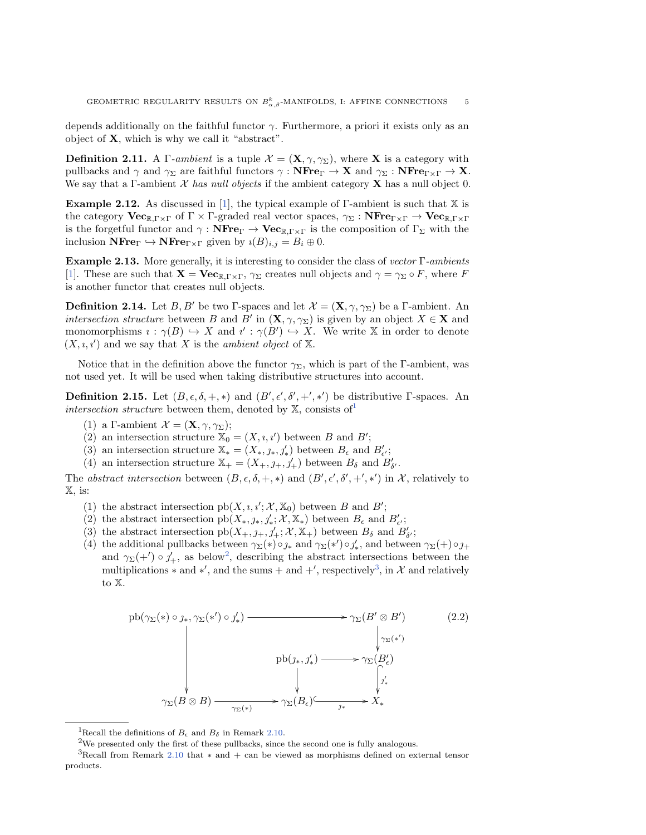depends additionally on the faithful functor  $\gamma$ . Furthermore, a priori it exists only as an object of  $X$ , which is why we call it "abstract".

<span id="page-4-3"></span>**Definition 2.11.** A  $\Gamma$ -ambient is a tuple  $\mathcal{X} = (\mathbf{X}, \gamma, \gamma \Sigma)$ , where X is a category with pullbacks and  $\gamma$  and  $\gamma_\Sigma$  are faithful functors  $\gamma : \mathbf{NFre}_\Gamma \to \mathbf{X}$  and  $\gamma_\Sigma : \mathbf{NFre}_{\Gamma \times \Gamma} \to \mathbf{X}$ . We say that a  $\Gamma$ -ambient  $\mathcal X$  has n[ull](#page-19-0) objects if the ambient category **X** has a null object 0.

**Example 2.12.** As discussed in [1], the typical example of  $\Gamma$ -ambient is such that  $\mathbb{X}$  is the category  $\mathbf{Vec}_{\mathbb{R} \Gamma \times \Gamma}$  of  $\Gamma \times \Gamma$ -graded real vector spaces,  $\gamma_{\Sigma} : \mathbf{NFre}_{\Gamma \times \Gamma} \to \mathbf{Vec}_{\mathbb{R} \Gamma \times \Gamma}$ is the forgetful functor and  $\gamma : \mathbf{NFre}_{\mathbb R} \to \mathbf{Vec}_{\mathbb R, \Gamma \times \Gamma}$  is the composition of  $\Gamma_\Sigma$  with the [inc](#page-19-0)lusion  $\mathbf{NFre}_{\Gamma} \hookrightarrow \mathbf{NFre}_{\Gamma \times \Gamma}$  given by  $\imath (B)_{i,j} = B_i \oplus 0.$ 

<span id="page-4-5"></span>**Example 2.13.** More generally, it is interesting to consider the class of vector  $\Gamma$ -ambients [1]. These are such that  $\mathbf{X} = \mathbf{Vec}_{\mathbb{R},\Gamma \times \Gamma}$ ,  $\gamma_{\Sigma}$  creates null objects and  $\gamma = \gamma_{\Sigma} \circ F$ , where F is another functor that creates null objects.

**Definition 2.14.** Let B, B' be two  $\Gamma$ -spaces and let  $\mathcal{X} = (\mathbf{X}, \gamma, \gamma_{\Sigma})$  be a  $\Gamma$ -ambient. An intersection structure between B and B' in  $(X, \gamma, \gamma_{\Sigma})$  is given by an object  $X \in X$  and monomorphisms  $i: \gamma (B) \hookrightarrow X$  and  $i': \gamma (B') \hookrightarrow X$ . We write X in order to denote  $(X, \iota, \iota')$  and we say that X is the *ambient object* of  $\Bbb X$ .

Notice that in the definition above the functor  $\gamma \Sigma$ , which is part of the  $\Gamma$ -ambient, was not used yet. It will be used when taking distributive structu[res](#page-4-0) into account.

**Definition 2.15.** Let  $(B, \epsilon, \delta, +, *)$  and  $(B', \epsilon', \delta', +', *)$  be distributive  $\Gamma$ -spaces. An intersection structure between them, denoted by  $\mathbb{X}$ , consists of

- (1) a  $\Gamma$ -ambient  $\mathcal{X} = (\mathbf{X}, \gamma, \gamma_{\Sigma})$ ;
- (2) an intersection structure  $\mathbb{X}_0 = (X, \iota, \iota')$  between B and B';
- (3) an intersection structure  $\mathbb{X}_{*} = (X_{*}, \jmath_{*}, \jmath'_{*})$  between  $B_{\epsilon}$  and  $B'_{\epsilon'}$ ;
- (4) an intersection structure  $\mathbb{X}_{+} = (X_{+}, \jmath_{+}, \jmath'_{+})$  between  $B_{\delta}$  and  $B'_{\delta'}$ .

The abstract intersection between  $(B, \epsilon, \delta, +, *)$  and  $(B', \epsilon', \delta', +', *)$  in  $\mathcal{X}$ , relatively to  $\mathbb{X}$ , is:

- (1) the abstract intersection  $\text{pb}(X, \iota, \iota'; \mathcal{X}, \mathbb{X}_0)$  between B and B';
- (2) the abstract intersection  $\operatorname{pb}(X_*, j_*, j'_*; \mathcal{X}, \mathbb{X}_*)$  between  $B_\epsilon$  and  $B'_{\epsilon'}$ ;
- (3)the abstract intersection  $\operatorname{pb}(X_+, \jmath_+, \jmath_+', \mathcal{X}, \mathbb{X}_+)$  between  $B_\delta$  and  $B'_\delta$ ;
- (4) the additional pullbacks between  $\gamma_\Sigma (\ast) \circ \jmath_\ast$  a[nd](#page-4-2)  $\gamma_\Sigma (\ast') \circ \jmath'_\ast$ , and between  $\gamma_\Sigma (+) \circ \jmath_+$ and  $\gamma \Sigma (+') \circ \gamma_+^{\prime}$ , as below<sup>2</sup>, describing the abstract intersections between the multiplications  $*$  and  $*'$ , and the sums + and +', respectively<sup>3</sup>, in  $\mathcal X$  and relatively to  $\mathbb{X}$ .

<span id="page-4-4"></span>
$$
pb(\gamma_{\Sigma}(*) \circ \jmath_*, \gamma_{\Sigma}(*') \circ \jmath'_*) \longrightarrow \gamma_{\Sigma}(B' \otimes B')
$$
\n
$$
\downarrow \qquad \qquad \downarrow \gamma_{\Sigma}(*')
$$
\n
$$
pb(\jmath_*, \jmath'_*) \longrightarrow \gamma_{\Sigma}(B'_{\epsilon})
$$
\n
$$
\downarrow \qquad \qquad \downarrow \qquad \qquad \downarrow \qquad \qquad \downarrow \qquad \qquad \downarrow \qquad \qquad \downarrow \qquad \qquad \downarrow \qquad \qquad \downarrow \qquad \qquad \downarrow \qquad \qquad \downarrow \qquad \qquad \downarrow \qquad \qquad \downarrow \qquad \qquad \downarrow \qquad \qquad \downarrow \qquad \qquad \downarrow \qquad \qquad \downarrow \qquad \qquad \downarrow \qquad \qquad \downarrow \qquad \qquad \downarrow \qquad \qquad \downarrow \qquad \qquad \downarrow \qquad \qquad \downarrow \qquad \qquad \downarrow \qquad \qquad \downarrow \qquad \qquad \downarrow \qquad \qquad \downarrow \qquad \qquad \downarrow \qquad \qquad \downarrow \qquad \qquad \downarrow \qquad \qquad \downarrow \qquad \qquad \downarrow \qquad \qquad \downarrow \qquad \qquad \downarrow \qquad \qquad \downarrow \qquad \qquad \downarrow \qquad \qquad \downarrow \qquad \qquad \downarrow \qquad \qquad \downarrow \qquad \qquad \downarrow \qquad \qquad \downarrow \qquad \qquad \downarrow \qquad \qquad \downarrow \qquad \qquad \downarrow \qquad \qquad \downarrow \qquad \qquad \downarrow \qquad \qquad \downarrow \qquad \qquad \downarrow \qquad \qquad \downarrow \qquad \qquad \downarrow \qquad \qquad \downarrow \qquad \qquad \downarrow \qquad \qquad \downarrow \qquad \qquad \downarrow \qquad \qquad \downarrow \qquad \qquad \downarrow \qquad \qquad \downarrow \qquad \qquad \downarrow \qquad \qquad \downarrow \qquad \qquad \downarrow \qquad \qquad \downarrow \qquad \qquad \downarrow \qquad \qquad \downarrow \qquad \qquad \downarrow \qquad \qquad \downarrow \qquad \qquad \downarrow \qquad \qquad \downarrow \qquad \qquad \downarrow \qquad \qquad \downarrow \qquad \qquad \downarrow \qquad \qquad \downarrow \qquad \qquad \downarrow \qquad \qquad \downarrow
$$

<span id="page-4-2"></span><span id="page-4-1"></span><span id="page-4-0"></span><sup>&</sup>lt;sup>1</sup>Recall the definitions [of](#page-3-0)  $B_\epsilon$  and  $B_\delta$  in Remark 2.10.

<sup>&</sup>lt;sup>2</sup>We presented only the first of these pullbacks, since the second one is fully analogous.

<sup>&</sup>lt;sup>3</sup>Recall from Remark 2.10 that  $\ast$  and + can be viewed as morphisms defined on external tensor products.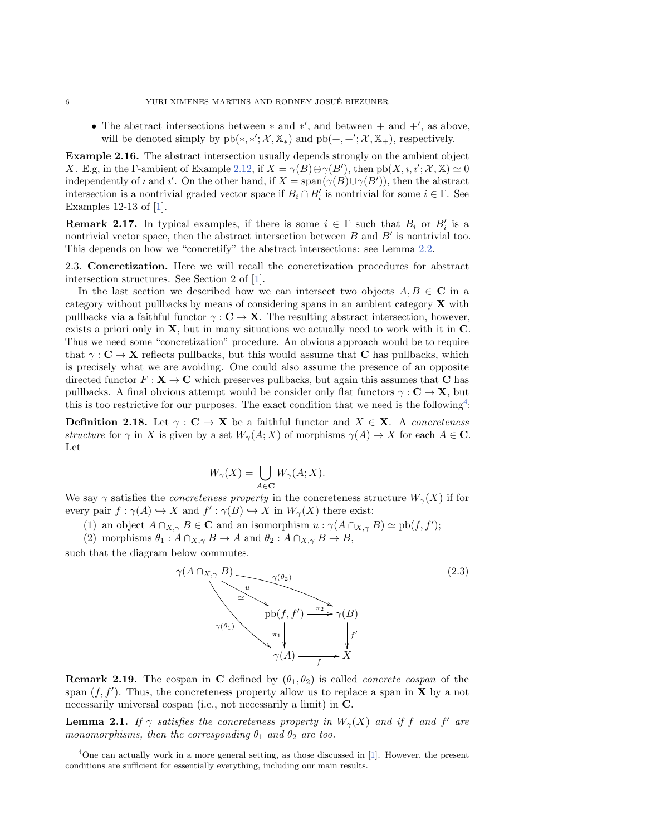• The abstract intersections between  $*$  and  $*'$ , and between  $+$  and  $+'\gamma$ , as above, will be denoted simply by  $pb(*, *,'; \mathcal{X}, \mathbb{X}_*)$  and  $pb(+, +'; \mathcal{X}, \mathbb{X}_+),$  respectively.

Example 2.16. The abstract inters[ection](#page-4-3) usually depends strongly on the ambient object X. E.g, in the  $\Gamma$ -ambient of Example 2.12, if  $X = \gamma (B) \oplus \gamma (B')$ , then  $\text{pb}(X, \iota, \iota'; \mathcal{X}, \mathbb{X}) \simeq 0$ i[nd](#page-19-0)ependently of  $\imath$  and  $\imath'$ . On the other hand, if  $X = \text{span}(\gamma (B) \cup \gamma (B'))$ , then the abstract intersection is a nontrivial graded vector space if  $B_i \cap B_i'$  is nontrivial for some  $i \in \Gamma$ . See Examples 12-13 of [1].

**Remark 2.17.** In typical examples, if there is some  $i \in \Gamma$  such that  $B_i$  [or](#page-6-0)  $B_i'$  is a nontrivial vector space, then the abstract intersection between  $B$  and  $B'$  is nontrivial too. This depends on how we "concretify" th[e a](#page-19-0)bstract intersections: see Lemma 2.2.

2.3. Concretization. Here we will recall the concretization procedures for abstract intersection structures. See Section 2 of [1].

In the last section we described how we can intersect two objects  $A, B \in \mathbb{C}$  in a category without pullbacks by means of considering spans in an ambient category X with pullbacks via a faithful functor  $\gamma : C \rightarrow X$ . The resulting abstract intersection, however, exists a priori only in X, but in many situations we actually need to work with it in C. Thus we need some "concretization" procedure. An obvious approach would be to require that  $\gamma : C \rightarrow X$  reflects pullbacks, but this would assume that C has pullbacks, which is precisely what we are avoiding. One could also assume the presence of an opposite directed functor  $F : \mathbf{X} \rightarrow \mathbf{C}$  which preserves pullbacks, but again this [as](#page-5-0)sumes that C has pullbacks. A final obvious attempt would be consider only flat functors  $\gamma : C \rightarrow X$ , but this is too restrictive for our purposes. The exact condition that we need is the following<sup>4</sup>:

**Definition 2.18.** Let  $\gamma : \mathbf{C} \rightarrow \mathbf{X}$  be a faithful functor and  $X \in \mathbf{X}$ . A concreteness structure for  $\gamma$  in X is given by a set  $W_\gamma (A; X)$  of morphisms  $\gamma (A) \rightarrow X$  for each  $A \in \mathbf{C}$ . Let

$$
W_{\gamma}(X) = \bigcup_{A \in \mathbf{C}} W_{\gamma}(A;X).
$$

We say  $\gamma$  satisfies the *concreteness property* in the concreteness structure  $W_\gamma (X)$  if for every pair  $f : \gamma (A) \hookrightarrow X$  and  $f' : \gamma (B) \hookrightarrow X$  in  $W_\gamma (X)$  there exist:

(1) an object  $A \cap_{X,\gamma} B \in \mathbf{C}$  and an isomorphism  $u : \gamma (A \cap_{X,\gamma} B) \simeq \text{pb}(f, f');$ 

(2) morphisms  $\theta_1 : A \cap_{X,\gamma} B \rightarrow A$  and  $\theta_2 : A \cap_{X,\gamma} B \rightarrow B$ ,

such that the diagram below commutes.

<span id="page-5-2"></span>

<span id="page-5-1"></span>**Remark 2.19.** The cospan in C defined by  $(\theta_1, \theta_2)$  is called *concrete cospan* of the span  $(f, f')$ . Thus, the concreteness property allow us to replace a span in **X** by a not necessarily universal cospan (i.e., not necessarily a limit) in C.

<span id="page-5-0"></span>**Lemma 2.1.** If  $\gamma$  satisfies the concreteness property in  $W_{\gamma}(X)$  and if f and f' are monomorphisms, then the corresponding  $\theta_1$  and  $\theta_2$  are too.

<sup>&</sup>lt;sup>4</sup>One can actually work in a more general setting, as those discussed in [1]. However, the present conditions are sufficient for essentially everything, including our main results.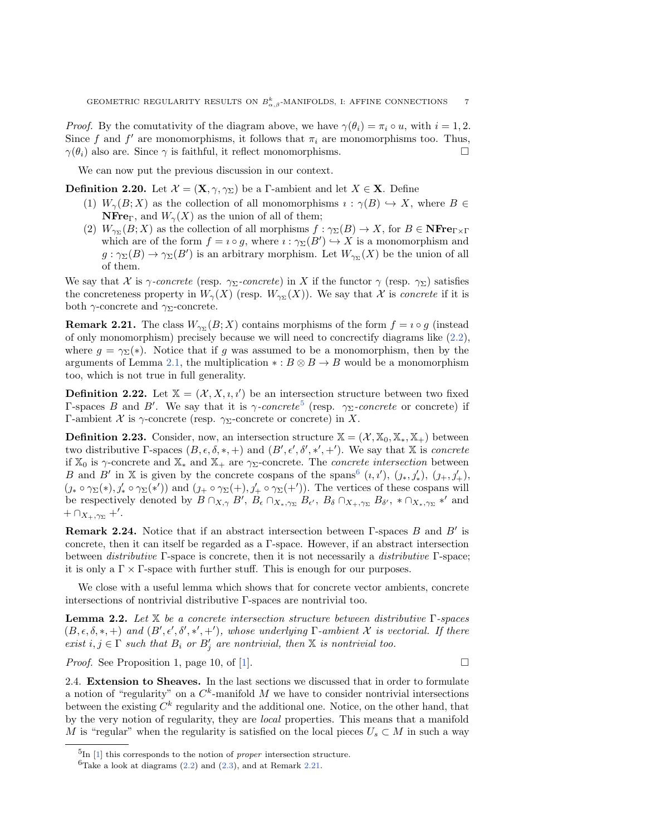*Proof.* By the comutativity of the diagram above, we have  $\gamma (\theta_i) = \pi_i \circ u$ , with  $i = 1, 2$ . Since f and f' are monomorphisms, it follows that  $\pi_i$  are monomorphisms too. Thus,  $\gamma (\theta_i)$  also are. Since  $\gamma$  is faithful, it reflect monomorphisms.  $\Box$ 

We can now put the previous discussion in our context.

**Definition 2.20.** Let  $\mathcal{X} = (\mathbf{X}, \gamma, \gamma_{\Sigma})$  be a  $\Gamma$ -ambient and let  $X \in \mathbf{X}$ . Define

- (1)  $W_\gamma (B; X)$  as the collection of all monomorphisms  $\imath : \gamma (B) \hookrightarrow X$ , where  $B \in$ **NFre**<sub> $\Gamma$ </sub>, and  $W_{\gamma}(X)$  as the union of all of them;
- (2)  $W_{\gamma_{\Sigma}}(B; X)$  as the collection of all morphisms  $f : \gamma_{\Sigma}(B) \rightarrow X$ , for  $B \in \mathbf{NFre}_{\Gamma \times \Gamma}$ which are of the form  $f = i \circ g$ , where  $i : \gamma \Sigma (B') \hookrightarrow X$  is a monomorphism and  $g: \gamma_\Sigma (B) \rightarrow \gamma_\Sigma (B')$  is an arbitrary morphism. Let  $W_{\gamma_\Sigma}(X)$  be the union of all of them.

<span id="page-6-3"></span>We say that  $\mathcal X$  is  $\gamma$ -concrete (resp.  $\gamma \Sigma$ -concrete) in X if the functor  $\gamma$  (resp.  $\gamma \Sigma$ ) satisfies the concreteness property in  $W_\gamma (X)$  (resp.  $W_{\gamma_\Sigma}(X)$ ). We say that  $\mathcal X$  is *concrete* if it is both  $\gamma$ -concrete and  $\gamma_{\Sigma}$ -concrete.

**Remark 2.21.** The class  $W_{\gamma \Sigma} (B; X)$  contains morphisms of the form  $f = i \circ g$  (ins[tead](#page-4-4) of only monomorphis[m\) p](#page-5-1)recisely because we will need to concrectify diagrams like  $(2.2)$ , where  $q = \gamma \Sigma (\ast )$ . Notice that if g was assumed to be a monomorphism, then by the arguments of Lemma 2.1, the multiplication  $\ast : B \otimes B \rightarrow B$  would be a monomorphism too, which is not true in full generality.

**Definition 2.22.** Let  $\mathbb{X} = (\mathcal{X}, X, i, i')$  be an inte[rse](#page-6-1)ction structure between two fixed  $\Gamma$ -spaces B and B'. We say that it is  $\gamma$ -concrete<sup>5</sup> (resp.  $\gamma_{\Sigma}$ -concrete or concrete) if  $\Gamma$ -ambient X is  $\gamma$ -concrete (resp.  $\gamma$ <sub> $\Sigma$ </sub>-concrete or concrete) in X.

**Definition 2.23.** Consider, now, an intersection structure  $\mathbb{X} = (\mathcal{X}, \mathbb{X}_0, \mathbb{X}_*, \mathbb{X}_+)$  between two distributive  $\Gamma$ -spaces  $(B, \epsilon, \delta, \ast, +)$  and  $(B', \epsilon', \delta', \ast', +')$ . [We](#page-6-2) say that  $\mathbb X$  is *concrete* if  $\mathbb{X}_0$  is  $\gamma$ -concrete and  $\mathbb{X}_*$  and  $\mathbb{X}_+$  are  $\gamma$ <sub>2</sub>-concrete. The *concrete intersection* between B and B' in X is given by the concrete cospans of the spans<sup>6</sup>  $(i, i')$ ,  $(\jmath_*, \jmath'_*$ ,  $(\jmath_+, \jmath'_+)$ ,  $(\jmath_* \circ \gamma_\Sigma (*), \jmath'_* \circ \gamma_\Sigma (*'))$  and  $(\jmath_* \circ \gamma_\Sigma (+), \jmath'_+ \circ \gamma_\Sigma (+'))$ . The vertices of these cospans will be respectively denoted by  $B \cap_{X,\gamma} B'$ ,  $B_{\epsilon} \cap_{X_*,\gamma_{\Sigma}} B_{\epsilon'}$ ,  $B_{\delta} \cap_{X_+,\gamma_{\Sigma}} B_{\delta'}$ ,  $*\cap_{X_*,\gamma_{\Sigma}} *'$  and  $+ \cap_{X_+,\gamma_{\Sigma}}$  +'.

**Remark 2.24.** Notice that if an abstract intersection between  $\Gamma$ -spaces B and B' is concrete, then it can itself be regarded as a  $\Gamma$ -space. However, if an abstract intersection between *distributive*  $\Gamma$ -space is concrete, then it is not necessarily a *distributive*  $\Gamma$ -space; it is only a  $\Gamma \times \Gamma$ -space with further stuff. This is enough for our purposes.

<span id="page-6-0"></span>We close with a useful lemma which shows that for concrete vector ambients, concrete intersections of nontrivial distributive  $\Gamma$ -spaces are nontrivial too.

**Lemma 2.2.** Let  $\mathbb{X}$  be a concrete intersection structure between distributive  $\Gamma$ -spaces  $(B, \epsilon , \delta , \ast , +)$  and  $(B', \epsilon', \delta', \ast', +')$ , whose underlying  $\Gamma$ -ambient  $\mathcal X$  is vectorial. If there exist  $i, j \in \Gamma$  such that  $B_i$  or  $B'_j$  are n[on](#page-19-0)trivial, then  $\mathbb X$  is nontrivial too.

*Proof.* See Proposition 1, page 10, of [1].

2.4. Extension to Sheaves. In the last sections we discussed that in order to formulate a notion of "regularity" on a  $C^k$ -manifold M we have to consider nontrivial intersections between the existing  $C^k$  regularity and the additional one. Notice, on the other hand, that by the very notion of regularity, they are local properties. This means that a manifold M is "regular" when the [regu](#page-4-4)larit[y is](#page-5-2) satisfied on t[he loc](#page-6-3)al pieces  $U_s \subset M$  in such a way

<span id="page-6-2"></span><span id="page-6-1"></span> ${}^{5}$ In [1] this corresponds to the notion of *proper* intersection structure.

 ${}^{6}$ Take a look at diagrams (2.2) and (2.3), and at Remark 2.21.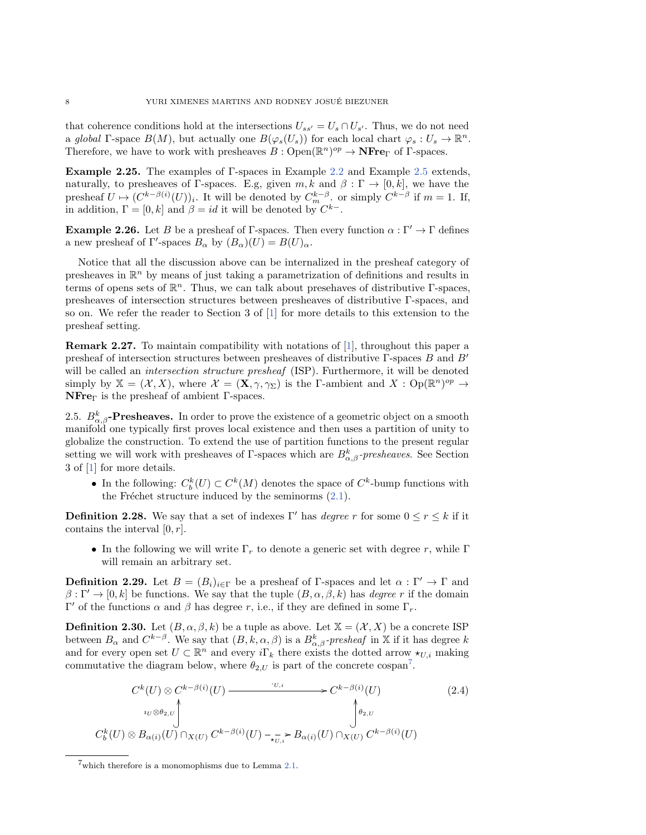<span id="page-7-2"></span>that coherence conditions hold at the intersections  $U_{ss'} = U_s \cap U_{s'}$ . Thus, we do not need a global  $\Gamma$ -space  $B(M)$ , but actually one  $B(\varphi_s(U_s))$  for each local chart  $\varphi_s : U_s \rightarrow \Bbb R^n$ . Therefore, we have to work with presheaves  $B: \mathrm{Open}(\mathbb{R}^n)^{op} \to \mathbf{NFre}_\Gamma$  $B: \mathrm{Open}(\mathbb{R}^n)^{op} \to \mathbf{NFre}_\Gamma$  $B: \mathrm{Open}(\mathbb{R}^n)^{op} \to \mathbf{NFre}_\Gamma$  of  $\Gamma$ [-spa](#page-2-2)ces.

**Example 2.25.** The examples of  $\Gamma$ -spaces in Example 2.2 and Example 2.5 extends, naturally, to presheaves of  $\Gamma$ -spaces. E.g, given  $m, k$  and  $\beta : \Gamma \rightarrow [0, k]$ , we have the presheaf  $U \mapsto (C^{k-\beta(i)}(U))_i$ . It will be denoted by  $C^{k-\beta}_m$ . or simply  $C^{k-\beta}$  if  $m = 1$ . If, in addition,  $\Gamma = [0, k]$  and  $\beta = id$  it will be denoted by  $C^{k-}$ .

**Example 2.26.** Let B be a presheaf of  $\Gamma$ -spaces. Then every function  $\alpha : \Gamma' \rightarrow \Gamma$  defines a new presheaf of  $\Gamma'$ -spaces  $B_\alpha$  by  $(B_\alpha)(U) = B(U)_\alpha$ .

Notice that all the discussion above can be internalized in the presheaf category of presheaves in  $\mathbb{R}^n$  by means of just taking a parametrization of definitions and results in terms of opens sets of  $\mathbb{R}^n$ . Thus, we can tal[k](#page-19-0) about presehaves of distributive  $\Gamma$ -spaces, presheaves of intersection structures between presheaves of distributive  $\Gamma$ -spaces, and so on. We refer the reader to Section 3 of [1] for more deta[ils](#page-19-0) to this extension to the presheaf setting.

Remark 2.27. To maintain compatibility with notations of [1], throughout this paper a presheaf of intersection structures between presheaves of distributive  $\Gamma$ -spaces B and B' will be called an *intersection structure presheaf* (ISP). Furthermore, it will be denoted simply by  $\mathbb{X} = (\mathcal{X}, X)$ , where  $\mathcal{X} = (\mathbf{X}, \gamma, \gamma_{\Sigma})$  is the  $\Gamma$ -ambient and  $X : Op(\mathbb{R}^n)^{op} \to$  $N$ Fre $\Gamma$  is the presheaf of ambient  $\Gamma$ -spaces.

2.5.  $B_{\alpha,\beta}^k$ -Presheaves. In order to prove the existence of a geometric object on a smooth manifold one typically first proves local existence and then uses a partition of unity to glob[ali](#page-19-0)ze the construction. To extend the use of partition functions to the present regular setting we will work with presheaves of  $\Gamma$ -spaces which are  $B^k_{\alpha,\beta}$ -presheaves. See Section 3 of [1] for more details.

• In the following:  $C_b^k(U) \subset C^k(M)$  denotes the sp[ace](#page-2-3) of  $C^k$ -bump functions with the Fréchet structure induced by the seminorms  $(2.1)$ .

**Definition 2.28.** We say that a set of indexes  $\Gamma'$  has degree r for some  $0 \leq r \leq k$  if it contains the interval  $[0, r]$ .

 $\bullet$  In the following we will write  $\Gamma_r$  to denote a generic set with degree r, while  $\Gamma$ will remain an arbitrary set.

<span id="page-7-1"></span>**Definition 2.29.** Let  $B = (B_i)_{i \in \Gamma}$  be a presheaf of  $\Gamma$ -spaces and let  $\alpha : \Gamma' \to \Gamma$  and  $\beta : \Gamma' \rightarrow [0, k]$  be functions. We say that the tuple  $(B, \alpha, \beta , k)$  has degree r if the domain  $\Gamma'$  of the functions  $\alpha$  and  $\beta$  has degree r, i.e., if they are defined in some  $\Gamma_r$ .

**Definition 2.30.** Let  $(B, \alpha, \beta, k)$  be a tuple as above. Let  $\mathbb{X} = (\mathcal{X}, X)$  be a concrete ISP between $B_\alpha$  and  $C^{k-\beta}$ . We say that  $(B, k, \alpha, \beta )$  is a  $B^k_{\alpha, \beta}$ -presheaf in X if i[t h](#page-7-0)as degree k and for every open set  $U \subset \mathbb{R}^n$  and every  $i\Gamma_k$  there exists the dotted arrow  $\star_{U,i}$  making commutative the diagram below, where  $\theta_{2,U}$  is part of the concrete cospan<sup>7</sup>.

<span id="page-7-3"></span>
$$
C^{k}(U) \otimes C^{k-\beta(i)}(U) \longrightarrow C^{k-\beta(i)}(U) \qquad (2.4)
$$
  
\n
$$
\downarrow_{U \otimes \theta_{2,U}} \int_{C_{b}^{k}(U) \otimes B_{\alpha(i)}(U) \cap_{X(U)} C^{k-\beta(i)}(U) \longrightarrow_{\tau_{U,i}} B_{\alpha(i)}(U) \cap_{X(U)} C^{k-\beta(i)}(U)
$$

<span id="page-7-0"></span><sup>7</sup>which therefore is a monomophisms due to Lemma 2.1.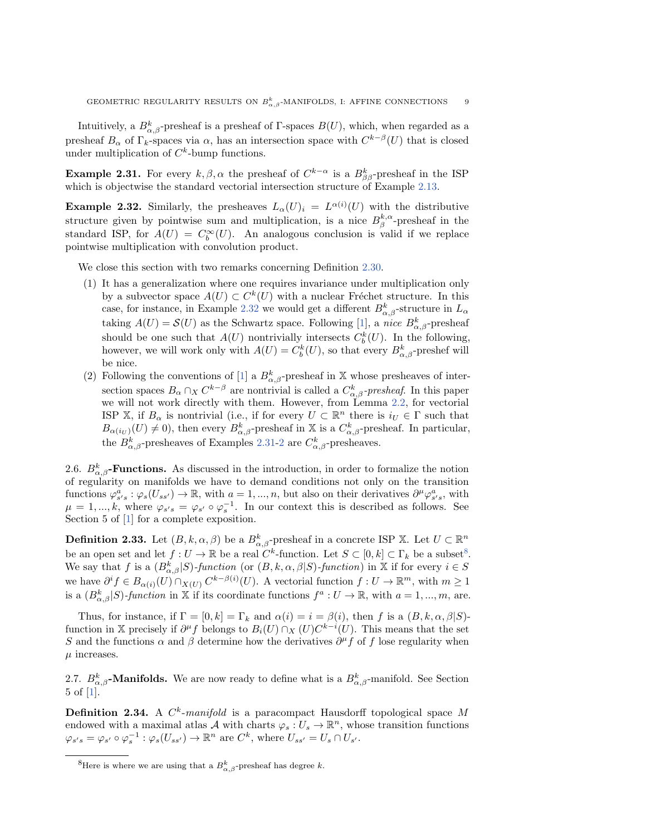<span id="page-8-1"></span>Intuitively, a  $B_{\alpha,\beta}^k$ -presheaf is a presheaf of  $\Gamma$ -spaces  $B(U)$ , which, when regarded as a presheaf  $B_\alpha$  of  $\Gamma_k$ -spaces via  $\alpha$ , has an intersection space with  $C^{k-\beta}(U)$  that is closed under multiplication of  $C^k$ -bump functions.

<span id="page-8-0"></span>**Example 2.31.** For every  $k, \beta, \alpha$  the presheaf of  $C^{k-\alpha}$  is a  $B_{\beta \beta}^k$ -presheaf [in th](#page-4-5)e ISP which is objectwise the standard vectorial intersection structure of Example 2.13.

**Example 2.32.** Similarly, the presheaves  $L_\alpha (U)_i = L^{\alpha (i)}(U)$  with the distributive structure given by pointwise sum and multiplication, is a nice  $B^{k,\alpha}_\beta$ -presheaf in the standard ISP, for  $A(U) = C_b^{\infty}(U)$ . An analogous conclusio[n is v](#page-7-1)alid if we replace pointwise multiplication with convolution product.

We close this section with two remarks concerning Definition 2.30.

- (1) It has a generalization where [one](#page-8-0) requires invariance under multiplication only by a subv[ec](#page-19-0)tor space  $A(U) \subset C^k(U)$  with a nuclear Fréchet structure. In this case, for instance, in Example 2.32 we would get a different  $B_{\alpha,\beta}^k$ -structure in  $L_\alpha$ taking  $A(U) = \mathcal{S}(U)$  as the Schwartz space. Following [1], a nice  $B_{\alpha,\beta}^k$ -presheaf should be one such that  $A(U)$  nontrivially intersects  $C_b^k(U)$ . In the following, however, we will work only w[ith](#page-19-0)  $A(U) = C_b^k(U)$ , so that every  $B_{\alpha,\beta}^k$ -preshef will be nice.
- (2) Following the conventions of [1] a  $B_{\alpha,\beta}^k$ -p[resh](#page-6-0)eaf in X whose presheaves of intersection spaces  $B_\alpha \cap_X C^{k-\beta}$  are nontrivial is called a  $C^k_{\alpha,\beta}$ -presheaf. In this paper we will not work directly with them. However, from Lemma 2.2, for vectorial ISP $\Bbb X$ , if  $B_\alpha$  is nontrivial (i.e., i[f for](#page-8-1) [ev](#page-9-0)ery  $U \subset \Bbb R^n$  there is  $i_U \in \Gamma$  such that  $B_{\alpha(i_U)}(U) \neq 0$ , then every  $B_{\alpha,\beta}^k$ -presheaf in X is a  $C_{\alpha,\beta}^k$ -presheaf. In particular, the  $B^k_{\alpha,\beta}$ -presheaves of Examples 2.31-2 are  $C^k_{\alpha,\beta}$ -presheaves.

2.6.  $B_{\alpha,\beta}^k$ -**Functions.** As discussed in the introduction, in order to formalize the notion of regularity on manifolds we have to demand conditions not only on the transition function[s](#page-19-0)  $\varphi_{s's}^a : \varphi_s(U_{ss'}) \to \mathbb{R}$ , with  $a = 1, ..., n$ , but also on their derivatives  $\partial^\mu \varphi_{s's}^a$ , with  $\mu = 1, ..., k$ , where  $\varphi_{s's} = \varphi_{s'} \circ \varphi_s^{-1}$ . In our context this is described as follows. See Section 5 of [1] for a complete exposition.

**Defi[n](#page-8-2)ition 2.33.** Let  $(B, k, \alpha, \beta)$  be a  $B_{\alpha, \beta}^k$ -presheaf in a concrete ISP X. Let  $U \subset \mathbb{R}^n$ be an open set and let  $f: U \rightarrow \mathbb{R}$  be a real  $C^k$ -function. Let  $S \subset [0, k] \subset \Gamma_k$  be a subset<sup>8</sup>. We say that f is a  $(B_{\alpha, \beta}^k | S)$ -function (or  $(B, k, \alpha, \beta | S)$ -function) in  $\Bbb{X}$  if for every  $i \in S$ we have  $\partial^i f \in B_{\alpha(i)}(U) \cap_{X(U)} C^{k - \beta(i)}(U)$ . A vectorial function  $f : U \to \mathbb{R}^m$ , with  $m \geq 1$ is a  $(B_{\alpha,\beta}^k | S)$ -function in X if its coordinate functions  $f^a: U \to \mathbb{R}$ , with  $a = 1, ..., m$ , are.

Thus, for instance, if  $\Gamma = [0, k] = \Gamma_k$  and  $\alpha (i) = i = \beta (i)$ , then f is a  $(B, k, \alpha, \beta | S)$ function in X precisely if  $\partial^{\mu} f$  belongs to  $B_i(U) \cap_X (U)C^{k-i}(U)$ . This means that the set S and the functions  $\alpha$  and  $\beta$  determine how the derivatives  $\partial^{\mu} f$  of f lose regularity when  $\mu$  increases.

2.7.  $B^k_{\alpha,\beta}$ -Manifolds. We are now ready to define what is a  $B^k_{\alpha,\beta}$ -manifold. See Section 5 of [1].

**Definition 2.34.** A  $C^k$ -manifold is a paracompact Hausdorff topological space M endowed with a maximal atlas  $\mathcal A$  with charts  $\varphi_s : U_s \to \Bbb R^n$ , whose transition functions  $\varphi_{s's} = \varphi_{s'} \circ \varphi_s^{-1} : \varphi_s(U_{ss'}) \to \mathbb{R}^n$  are  $C^k$ , where  $U_{ss'} = U_s \cap U_{s'}$ .

<span id="page-8-2"></span><sup>&</sup>lt;sup>8</sup>Here is where we are using that a  $B_{\alpha,\beta}^k$ -presheaf has degree k.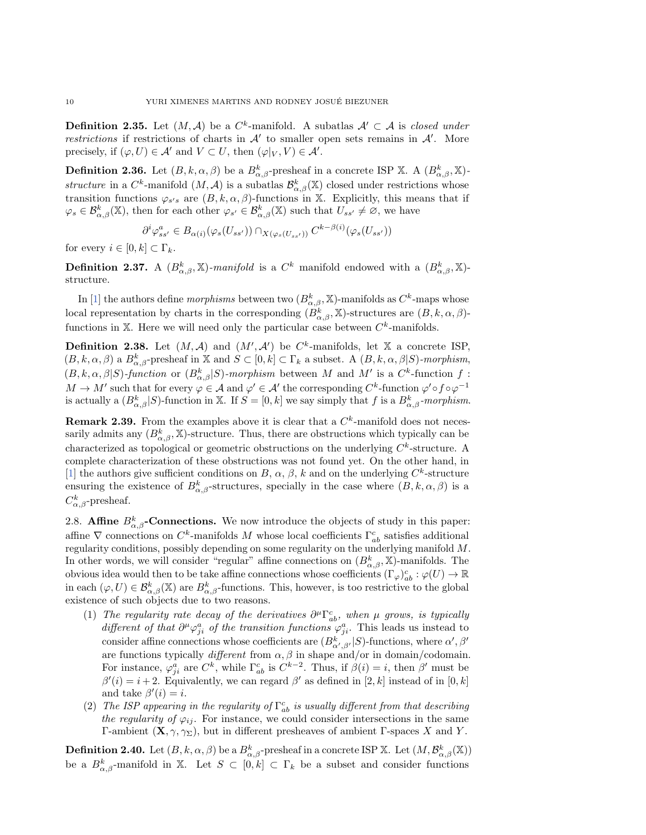**Definition 2.35.** Let  $(M, \mathcal{A})$  be a C<sup>k</sup>-manifold. A subatlas  $\mathcal{A}' \subset \mathcal{A}$  is closed under restrictions if restrictions of charts in  $\mathcal{A}'$  to smaller open sets remains in  $\mathcal{A}'$ . More precisely, if  $(\varphi, U) \in \mathcal{A}'$  and  $V \subset U$ , then  $(\varphi |_V , V ) \in \mathcal{A}'$ .

**Definition 2.36.** Let  $(B, k, \alpha, \beta)$  be a  $B^k_{\alpha, \beta}$ -presheaf in a concrete ISP X. A  $(B^k_{\alpha, \beta}, \mathbb{X})$ structure in a  $C^k$ -manifold  $(M, \mathcal{A})$  is a subatlas  $\mathcal{B}^k_{\alpha, \beta}(\mathbb{X})$  closed under restrictions whose transition functions  $\varphi_{s's}$  are  $(B, k, \alpha, \beta)$ -functions in X. Explicitly, this means that if  $\varphi_s \in \mathcal{B}^k_{\alpha,\beta}(\Bbb X)$ , then for each other  $\varphi_{s'} \in \mathcal{B}^k_{\alpha,\beta}(\Bbb X)$  such that  $U_{ss'} \neq \emptyset$ , we have

$$
\partial^i \varphi_{ss'}^a \in B_{\alpha(i)}(\varphi_s(U_{ss'})) \cap_{X(\varphi_s(U_{ss'}))} C^{k-\beta(i)}(\varphi_s(U_{ss'}))
$$

for every  $i \in [0, k] \subset \Gamma_k$ .

**Definition 2.37.** A  $(B^k_{\alpha,\beta}, \mathbb{X})$ -manifold is a  $C^k$  manifold endowed with a  $(B^k_{\alpha,\beta}, \mathbb{X})$ struc[tur](#page-19-0)e.

In [1] the authors define *morphisms* between two  $(B_{\alpha, \beta}^k, \mathbb{X})$ -manifolds as  $C^k$ -maps whose local representation by charts in the corresponding  $(B_{\alpha, \beta}^k, \mathbb{X})$ -structures are  $(B, k, \alpha, \beta)$ functions in X. Here we will need only the particular case between  $C^k$ -manifolds.

**Definition 2.38.** Let  $(M, \mathcal{A})$  and  $(M', \mathcal{A}')$  be  $C^k$ -manifolds, let X a concrete ISP,  $(B, k, \alpha, \beta )$  a  $B_{\alpha, \beta}^k$ -presheaf in  $\Bbb X$  and  $S \subset [0, k] \subset \Gamma_k$  a subset. A  $(B, k, \alpha, \beta | S)$ -morphism,  $(B, k, \alpha, \beta | S)$ -function or  $(B^k_{\alpha, \beta} | S)$ -morphism between M and M' is a  $C^k$ -function f:  $M \rightarrow M'$  such that for every  $\varphi \in \mathcal{A}$  and  $\varphi' \in \mathcal{A}'$  the corresponding  $C^k$ -function  $\varphi' \circ f \circ \varphi^{-1}$ is actually a  $(B_{\alpha,\beta}^k | S)$ -function in X. If  $S = [0, k]$  we say simply that f is a  $B_{\alpha,\beta}^k$ -morphism.

**Remark 2.39.** From the examples above it is clear that a  $C<sup>k</sup>$ -manifold does not necessarily admits any  $(B_{\alpha, \beta}^k, \mathbb{X})$ -structure. Thus, there are obstructions which typically can be [ch](#page-19-0)aracterized as topological or geometric obstructions on the underlying  $C<sup>k</sup>$ -structure. A complete characterization of these obstructions was not found yet. On the other hand, in [1] the authors give sufficient conditions on B,  $\alpha$ ,  $\beta$ , k and on the underlying  $C^k$ -structure ensuring the existence of  $B^k_{\alpha, \beta}$ -structures, specially in the case where  $(B, k, \alpha, \beta )$  is a  $C^k_{\alpha,\beta}$ -presheaf.

2.8. **Affine**  $B_{\alpha,\beta}^k$ -**Connections.** We now introduce the objects of study in this paper: affine  $\nabla$  connections on  $C^k$ -manifolds M whose local coefficients  $\Gamma^c_{ab}$  satisfies additional regularity conditions, possibly depending on some regularity on the underlying manifold M. In other words, we will consider "regular" affine connections on  $(B^k_{\alpha,\beta}, \mathbb{X})$ -manifolds. The obvious idea would then to be take affine connections whose coefficients  $(\Gamma_\varphi)_{ab}^c : \varphi (U) \to \mathbb{R}$ in each  $(\varphi, U) \in \mathcal{B}_{\alpha,\beta}^k(\mathbb{X})$  are  $B_{\alpha,\beta}^k$ -functions. This, however, is too restrictive to the global existence of such objects due to two reasons.

- <span id="page-9-1"></span>(1) The regularity rate decay of the derivatives  $\partial^\mu \Gamma^c_{ab}$ , when  $\mu$  grows, is typically different of that  $\partial^\mu \varphi_{ji}^a$  of the transition functions  $\varphi_{ji}^a$ . This leads us instead to consider affine connections whose coefficients are  $(B^k_{\alpha', \beta'} | S)$ -functions, where  $\alpha', \beta'$ are functions typically *different* from  $\alpha$ ,  $\beta$  in shape and/or in domain/codomain. For instance,  $\varphi_{ji}^a$  are  $C^k$ , while  $\Gamma^c_{ab}$  is  $C^{k-2}$ . Thus, if  $\beta(i) = i$ , then  $\beta'$  must be  $\beta'(i) = i + 2$ . Equivalently, we can regard  $\beta'$  as defined in [2, k] instead of in [0, k] and take  $\beta'(i) = i$ .
- <span id="page-9-0"></span>(2) The ISP appearing in the regularity of  $\Gamma^c_{ab}$  is usually different from that describing the regularity of  $\varphi_{ij}$ . For instance, we could consider intersections in the same  $\Gamma$ -ambient  $(X, \gamma, \gamma \Sigma)$ , but in different presheaves of ambient  $\Gamma$ -spaces X and Y.

**Definition 2.40.** Let  $(B, k, \alpha, \beta)$  be a  $B^k_{\alpha, \beta}$ -presheaf in a concrete ISP X. Let  $(M, \mathcal{B}^k_{\alpha, \beta}(\mathbb{X}))$ be a  $B_{\alpha,\beta}^k$ -manifold in X. Let  $S \subset [0, k] \subset \Gamma_k$  be a subset and consider functions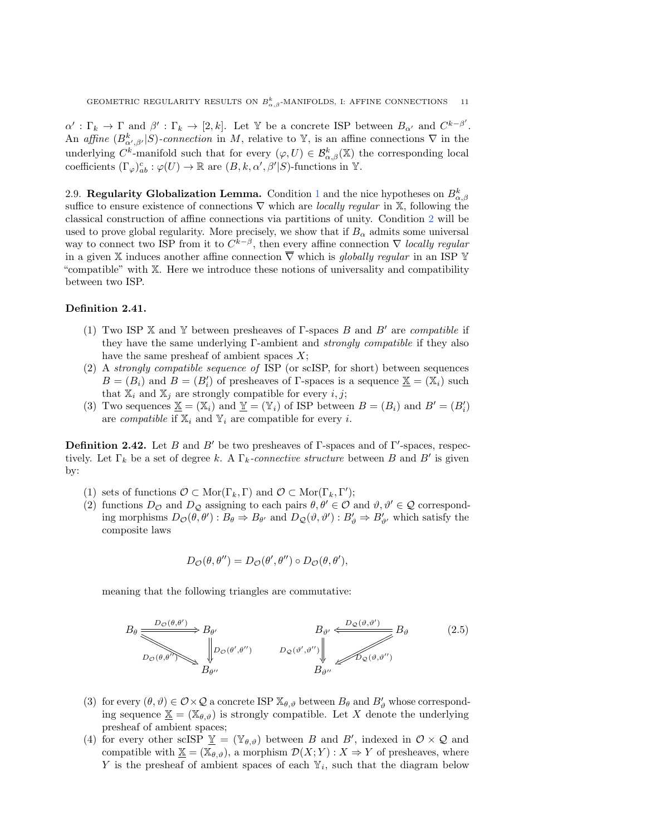$\alpha' : \Gamma_k \to \Gamma$  and  $\beta' : \Gamma_k \to [2, k]$ . Let Y be a concrete ISP between  $B_{\alpha'}$  and  $C^{k-\beta'}$ . An affine  $(B^k_{\alpha',\beta'}|S)$ -connection in M, relative to Y, is an affine connections  $\nabla$  in the underlying  $C^k$ -manifold such that for every  $(\varphi, U) \in \mathcal{B}^k_{\alpha, \beta}(\mathbb{X})$  the corresponding local coefficients  $(\Gamma_{\varphi})_{ab}^c : \varphi (U) \rightarrow \Bbb{R}$  are  $(B, k, \alpha', \beta'|S)$ -func[ti](#page-9-1)ons in Y.

<span id="page-10-0"></span>2.9. Regularity Globalization Lemma. Condition 1 and the nice hypothese[s o](#page-9-0)n  $B_{\alpha,\beta}^k$ suffice to ensure existence of connections  $\nabla$  which are *locally regular* in  $\Bbb{X}$ , following the classical construction of affine connections via partitions of unity. Condition 2 will be used to prove global regularity. More precisely, we show that if  $B_\alpha$  admits some universal way to connect two ISP from it to  $C^{k-\beta}$ , then every affine connection  $\nabla$  locally regular in a given  $\Bbb{X}$  induces another affine connection  $\overline{\nabla}$  which is globally regular in an ISP  $\Bbb{Y}$ "compatible" with  $\Bbb{X}$ . Here we introduce these notions of universality and compatibility between two ISP.

### Definition 2.41.

- (1) Two ISP  $\mathbb X$  and  $\mathbb Y$  between presheaves of  $\Gamma$ -spaces B and B' are compatible if they have the same underlying  $\Gamma$ -ambient and *strongly compatible* if they also have the same presheaf of ambient spaces  $X$ ;
- (2) A strongly compatible sequence of ISP (or scISP, for short) between sequences  $B = (B_i)$  and  $B = (B_i')$  of presheaves of  $\Gamma$ -spaces is a sequence  $\underline{\mathbb{X}} = (\mathbb{X}_i)$  such that  $\mathbb{X}_i$  and  $\mathbb{X}_j$  are strongly compatible for every  $i, j$ ;
- (3) Two sequences  $\underline{\mathbb{X}} = (\mathbb{X}_i)$  and  $\underline{\mathbb{Y}} = (\mathbb{Y}_i)$  of ISP between  $B = (B_i)$  and  $B' = (B_i')$ are *compatible* if  $\mathbb{X}_i$  and  $\mathbb{Y}_i$  are compatible for every i.

**Definition 2.42.** Let B and B' be two presheaves of  $\Gamma$ -spaces and of  $\Gamma'$ -spaces, respectively. Let  $\Gamma_k$  be a set of degree k. A  $\Gamma_k$ -connective structure between B and B' is given by:

- (1) sets of functions  $\mathcal{O} \subset \text{Mor}(\Gamma_k, \Gamma )$  and  $\mathcal{O} \subset \text{Mor}(\Gamma_k, \Gamma ');$
- (2) functions  $D_{\mathcal{O}}$  and  $D_{\mathcal{Q}}$  assigning to each pairs  $\theta, \theta' \in \mathcal{O}$  and  $\vartheta, \vartheta' \in \mathcal{Q}$  corresponding morphisms  $D_{\mathcal{O}}(\theta, \theta') : B_{\theta} \Rightarrow B_{\theta'}$  and  $D_{\mathcal{Q}}(\vartheta, \vartheta') : B'_{\vartheta} \Rightarrow B'_{\vartheta'}$  which satisfy the composite laws

$$
D_{\mathcal{O}}(\theta, \theta'') = D_{\mathcal{O}}(\theta', \theta'') \circ D_{\mathcal{O}}(\theta, \theta'),
$$

meaning that the following triangles are commutative:

<span id="page-10-1"></span>
$$
B_{\theta} \xrightarrow{D_{\mathcal{Q}}(\theta,\theta')} B_{\theta'} \xrightarrow{B_{\theta'}} B_{\theta'} \xrightarrow{B_{\theta'} \xleftarrow{D_{\mathcal{Q}}(\theta',\theta')}} B_{\theta} \qquad (2.5)
$$
\n
$$
D_{\mathcal{Q}}(\theta',\theta'') \xrightarrow{D_{\mathcal{Q}}(\theta',\theta'')} B_{\theta''} \xrightarrow{D_{\mathcal{Q}}(\theta,\theta'')}
$$

- (3) for every  $(\theta , \vartheta ) \in \mathcal{O} \times \mathcal{Q}$  a concrete ISP  $\mathbb{X}_{\theta ,\vartheta}$  between  $B_\theta$  and  $B'_\vartheta$  whose corresponding sequence  $\underline{\mathbb{X}} = (\mathbb{X}_{\theta ,\vartheta })$  is strongly compatible. Let X denote the underlying presheaf of ambient spaces;
- (4) for every other scISP  $\underline{Y} = (\mathbb{Y}_{\theta, \vartheta})$  between B and B', indexed in  $\mathcal{O} \times \mathcal{Q}$  and compatible with  $\underline{\mathbb X} = (\mathbb X_{\theta, \vartheta})$ , a morphism  $\mathcal D (X; Y) : X \Rightarrow Y$  of presheaves, where Y is the presheaf of ambient spaces of each  $\mathbb{Y}_i$ , such that the diagram below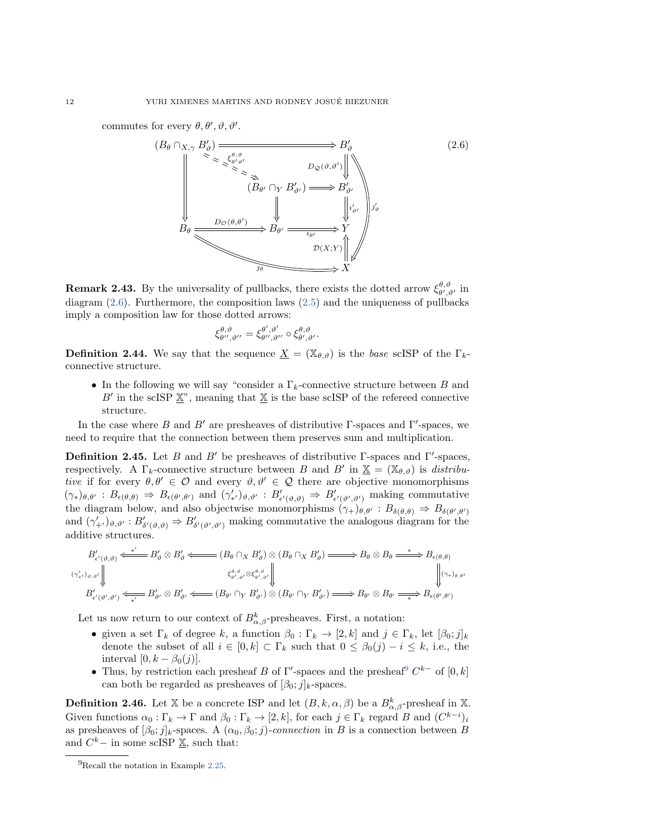commutes for every  $\theta, \theta', \vartheta, \vartheta'$ .

<span id="page-11-0"></span>

**Remark [2.4](#page-11-0)3.**By the universality of pullbacks, t[here](#page-10-1) exists the dotted arrow  $\xi_{\theta',\vartheta'}^{\theta,\vartheta}$  in diagram (2.6). Furthermore, the composition laws (2.5) and the uniqueness of pullbacks imply a composition law for those dotted arrows:

$$
\xi^{\theta,\vartheta}_{\theta'',\vartheta''}=\xi^{\theta',\vartheta'}_{\theta'',\vartheta''}\circ\xi^{\theta,\vartheta}_{\theta',\vartheta'}.
$$

**Definition 2.44.** We say that the sequence  $\underline{X} = (\mathbb{X}_{\theta, \vartheta})$  is the base scISP of the  $\Gamma_k$ connective structure.

 $\bullet$  In the following we will say "consider a  $\Gamma_k$ -connective structure between B and B' in the scISP  $\underline{\mathbb{X}}$ ", meaning that  $\underline{\mathbb{X}}$  is the base scISP of the refereed connective structure.

<span id="page-11-2"></span>In the case where B and B' are presheaves of distributive  $\Gamma$ -spaces and  $\Gamma'$ -spaces, we need to require that the connection between them preserves sum and multiplication.

**Definition 2.45.** Let B and B' be presheaves of distributive  $\Gamma$ -spaces and  $\Gamma'$ -spaces, respectively. A  $\Gamma_k$ -connective structure between B and B' in  $\underline{\mathbb{X}} = (\mathbb{X}_{\theta, \vartheta})$  is distributive if for every  $\theta, \theta' \in \mathcal{O}$  and every  $\vartheta, \vartheta' \in \mathcal{Q}$  there are objective monomorphisms  $(\gamma_*)_{\theta,\theta'} : B_{\epsilon(\theta,\theta)} \Rightarrow B_{\epsilon(\theta',\theta')}$  and  $(\gamma'_{*'})_{\theta,\theta'} : B'_{\epsilon'(\theta,\theta)} \Rightarrow B'_{\epsilon'(\theta',\theta')}$  making commutative the diagram below, and also objectwise monomorphisms  $(\gamma_+)_{\theta, \theta'} : B_{\delta (\theta, \theta)} \Rightarrow B_{\delta (\theta', \theta')}$ and  $(\gamma'_{+})_{\vartheta,\vartheta'}:B'_{\delta'(\vartheta,\vartheta)}\Rightarrow B'_{\delta'(\vartheta',\vartheta')}$  making commutative the analogous diagram for the additive structures.

$$
B'_{\epsilon'(\vartheta,\vartheta)} \stackrel{\ast'}{\iff} B'_{\vartheta} \otimes B'_{\vartheta} \stackrel{\ast'}{\iff} (B_{\theta} \cap_X B'_{\vartheta}) \otimes (B_{\theta} \cap_X B'_{\vartheta}) \implies B_{\theta} \otimes B_{\theta} \stackrel{\ast}{\iff} B_{\epsilon(\theta,\theta)} \\
\downarrow^{G_{\vartheta',\vartheta}} \otimes \langle B'_{\theta',\vartheta'} \rangle \stackrel{\xi_{\theta',\vartheta}^{\theta,\vartheta}}{\iff} \langle \varphi_{\theta',\vartheta'} \rangle \stackrel{\xi_{\theta',\vartheta}^{\theta,\vartheta}}{\iff} \langle \varphi_{\theta',\vartheta'} \rangle \stackrel{\xi_{\theta',\vartheta}^{\theta,\vartheta}}{\iff} B'_{\theta'} \otimes B'_{\theta'} \stackrel{\xi_{\theta',\vartheta}^{\theta,\vartheta}}{\iff} B'_{\epsilon(\theta',\theta')} \stackrel{\xi_{\theta',\vartheta}^{\theta,\vartheta}}{\iff} B'_{\epsilon(\theta',\theta')} \stackrel{\xi_{\theta',\vartheta}^{\theta,\vartheta}}{\iff} B'_{\epsilon(\theta',\theta')} \stackrel{\xi_{\theta',\vartheta}^{\theta,\vartheta}}{\iff} B'_{\epsilon(\theta',\theta')} \stackrel{\xi_{\theta',\vartheta}^{\theta,\vartheta}}{\iff} B'_{\epsilon(\theta',\theta')} \stackrel{\xi_{\theta',\vartheta}^{\theta,\vartheta}}{\iff} B'_{\epsilon(\theta',\theta')} \stackrel{\xi_{\theta',\vartheta}^{\theta,\vartheta}}{\iff} B'_{\epsilon(\theta',\theta')} \stackrel{\xi_{\theta',\vartheta}^{\theta,\vartheta}}{\iff} B'_{\epsilon(\theta',\theta')} \stackrel{\xi_{\theta',\vartheta}^{\theta,\vartheta}}{\iff} B'_{\epsilon(\theta',\vartheta')} \stackrel{\xi_{\theta',\vartheta}^{\theta,\vartheta}}{\iff} B'_{\epsilon(\theta',\vartheta')} \stackrel{\xi_{\theta',\vartheta}^{\theta,\vartheta}}{\iff} B'_{\epsilon(\theta',\vartheta')} \stackrel{\xi_{\theta',\vartheta}^{\theta,\vartheta}}{\iff} B'_{\epsilon(\theta',\vartheta')} \stackrel{\xi_{\theta',\vartheta}^{\theta,\vartheta}}{\iff} B'_{\epsilon(\theta',\vartheta')} \stackrel{\xi_{\theta',\vartheta}^{\theta,\vartheta}}{\iff} B'_{\epsilon(\theta',\vartheta')} \stackrel{\xi_{\theta',\vartheta}^
$$

Let us now return to our context of  $B_{\alpha,\beta}^k$ -presheaves. First, a notation:

- $\bullet$  given a set  $\Gamma_k$  of degree k, a function  $\beta_0 : \Gamma_k \rightarrow [2, k]$  and  $j \in \Gamma_k$ , let  $[\beta_0; j]_k$ denote the subset of all  $i \in [0, k] \subset \Gamma_k$  such that  $0 \leq \beta_0(j) - i \leq k$  $0 \leq \beta_0(j) - i \leq k$  $0 \leq \beta_0(j) - i \leq k$ , i.e., the interval  $[0, k - \beta_0(j)].$
- Thus, by restriction each presheaf B of  $\Gamma'$ -spaces and the presheaf<sup>9</sup>  $C^{k-}$  of  $[0, k]$ can both be regarded as presheaves of  $[\beta_0; j]_k$ -spaces.

**Definition 2.46.** Let  $\mathbb{X}$  be a concrete ISP and let  $(B, k, \alpha, \beta)$  be a  $B_{\alpha, \beta}^k$ -presheaf in  $\mathbb{X}$ . Given functions  $\alpha_0 : \Gamma_k \rightarrow \Gamma$  and  $\beta_0 : \Gamma_k \rightarrow [2, k]$ , for each  $j \in \Gamma_k$  regard B and  $(C^{k-i})_i$ as presheaves of  $[\beta_0; j]_k$ -spaces. A  $(\alpha_0, \beta_0; j)$ -connection in B is a connection between B and  $C^k$  – in some scISP  $\underline{\mathbb{X}}$ , su[ch th](#page-7-2)at:

<span id="page-11-1"></span><sup>9</sup>Recall the notation in Example 2.25.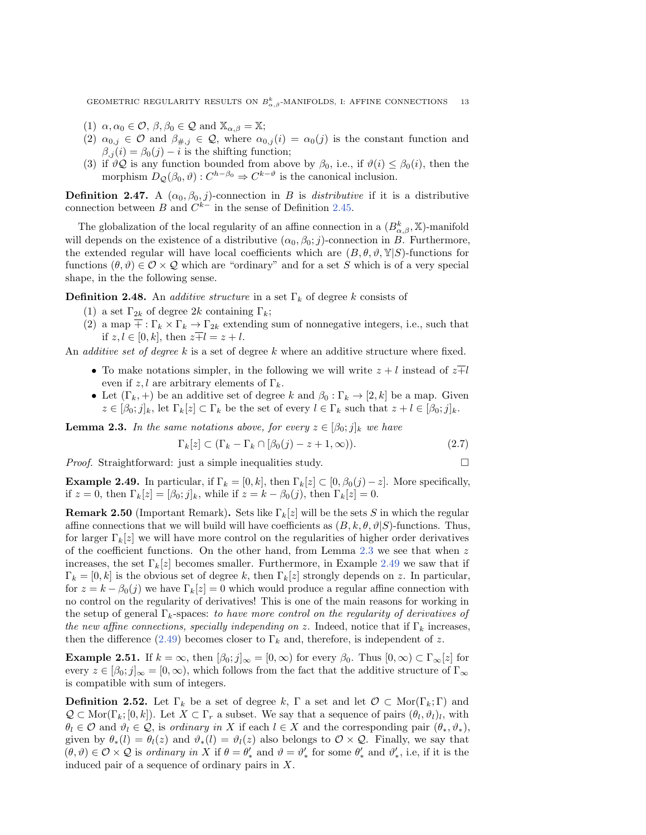GEOMETRIC REGULARITY RESULTS ON  $B^k_{\alpha,\beta}$ -MANIFOLDS, I: AFFINE CONNECTIONS 13

- (1)  $\alpha, \alpha_0 \in \mathcal{O}$ ,  $\beta, \beta_0 \in \mathcal{Q}$  and  $\mathbb{X}_{\alpha, \beta} = \mathbb{X}$ ;
- (2)  $\alpha_{0,j} \in \mathcal{O}$  and  $\beta_{\#,j} \in \mathcal{Q}$ , where  $\alpha_{0,j} (i) = \alpha_0(j)$  is the constant function and  $\beta_{,i} (i) = \beta_0(j) - i$  is the shifting function;
- (3) if  $\vartheta \mathcal{Q}$  is any function bounded from above by  $\beta_0$ , i.e., if  $\vartheta (i) \leq \beta_0(i)$ , then the morphism  $D_{\mathcal{Q}}(\beta_0, \vartheta) : C^{h - \beta_0} \Rightarrow C^{k - \vartheta}$  is the cano[nical](#page-11-2) inclusion.

**Definition 2.47.** A  $(\alpha_0, \beta_0, j)$ -connection in B is distributive if it is a distributive connection between B and  $C^{k-}$  in the sense of Definition 2.45.

The globalization of the local regularity of an affine connection in a  $(B_{\alpha,\beta}^k, \mathbb{X})$ -manifold will depends on the existence of a distributive  $(\alpha_0, \beta_0; j)$ -connection in B. Furthermore, the extended regular will have local coefficients which are  $(B, \theta, \vartheta, \mathbb{Y} | S)$ -functions for functions  $(\theta, \vartheta) \in \mathcal{O} \times \mathcal{Q}$  which are "ordinary" and for a set S which is of a very special shape, in the the following sense.

**Definition 2.48.** An *additive structure* in a set  $\Gamma_k$  of degree k consists of

- (1) a set  $\Gamma_{2k}$  of degree 2k containing  $\Gamma_k$ ;
- (2) a map  $\overline{+} : \Gamma_k \times \Gamma_k \rightarrow \Gamma_{2k}$  extending sum of nonnegative integers, i.e., such that if  $z, l \in [0, k]$ , then  $z\overline{+}l = z + l$ .

An *additive set of degree*  $k$  is a set of degree  $k$  where an additive structure where fixed.

- $\bullet$  To make notations simpler, in the following we will write  $z + l$  instead of  $z\overline{+l}$ even if  $z, l$  are arbitrary elements of  $\Gamma_k$ .
- <span id="page-12-1"></span> $\bullet$  Let  $(\Gamma_k, +)$  be an additive set of degree k and  $\beta_0 : \Gamma_k \rightarrow [2, k]$  be a map. Given  $z \in [\beta_0; j]_k$ , let  $\Gamma_k[z] \subset \Gamma_k$  be the set of every  $l \in \Gamma_k$  such that  $z + l \in [\beta_0; j]_k$ .

**Lemma 2.3.** In the same notations above, for every  $z \in [\beta_0; j]_k$  we have

$$
\Gamma_k[z] \subset (\Gamma_k - \Gamma_k \cap [\beta_0(j) - z + 1, \infty)).\tag{2.7}
$$

<span id="page-12-2"></span>*Proof.* Straightforward: just a simple inequalities study.  $\Box$ 

<span id="page-12-0"></span>**Example 2.49.** In particular, if  $\Gamma_k = [0, k]$ , then  $\Gamma_k[z] \subset [0, \beta_0(j) - z]$ . More specifically, if  $z = 0$ , then  $\Gamma_k[z] = [\beta_0; j]_k$ , while if  $z = k - \beta_0(j)$ , then  $\Gamma_k[z] = 0$ .

**Remark 2.50** (Important Remark). Sets like  $\Gamma_k[z]$  will be the sets S in which the regular affine connections that we will build will have coefficients as  $(B, k, \theta, \vartheta | S)$ -functions. Thus, for larger  $\Gamma_k[z]$  we will have more control on the regularities of high[er or](#page-12-2)der derivatives of the coefficient functions. On the other hand, from Lemma  $2.3$  we see that when  $z$ increases, the set  $\Gamma_k[z]$  becomes smaller. Furthermore, in Example 2.49 we saw that if  $\Gamma_k = [0, k]$  is the obvious set of degree k, then  $\Gamma_k[z]$  strongly depends on z. In particular, for  $z = k - \beta_0(j)$  we have  $\Gamma_k[z] = 0$  which would produce a regular affine connection with no control on the regularity of derivatives! This is one of the main reasons for working in the setup of general  $\Gamma_k$ -spaces: to have more control on the regularity of derivatives of the new affine connections, specially independing on z. Indeed, notice that if  $\Gamma_k$  increases, then the difference (2.49) becomes closer to  $\Gamma_k$  and, therefore, is independent of z.

**Example 2.51.** If  $k = \infty$ , then  $[\beta_0; j]_\infty = [0, \infty)$  for every  $\beta_0$ . Thus  $[0, \infty) \subset \Gamma_\infty[z]$  for every  $z \in [\beta_0; j]_\infty = [0, \infty)$ , which follows from the fact that the additive structure of  $\Gamma_\infty$ is compatible with sum of integers.

**Definition 2.52.** Let  $\Gamma_k$  be a set of degree k,  $\Gamma$  a set and let  $\mathcal{O} \subset \text{Mor}(\Gamma_k; \Gamma )$  and  $\mathcal Q \subset \text{Mor}(\Gamma_k; [0, k])$ . Let  $X \subset \Gamma_r$  a subset. We say that a sequence of pairs  $(\theta_l, \vartheta_l)_l$ , with  $\theta_l \in \mathcal{O}$  and  $\vartheta_l \in \mathcal{Q}$ , is ordinary in X if each  $l \in X$  and the corresponding pair  $(\theta_*, \vartheta_*)$ , given by  $\theta_*(l) = \theta_l(z)$  and  $\vartheta_*(l) = \vartheta_l(z)$  also belongs to  $\mathcal{O} \times \mathcal{Q}$ . Finally, we say that  $(\theta, \vartheta) \in \mathcal{O} \times \mathcal{Q}$  is ordinary in X if  $\theta = \theta'_{*}$  and  $\vartheta = \vartheta'_{*}$  for some  $\theta'_{*}$  and  $\vartheta'_{*}$ , i.e, if it is the induced pair of a sequence of ordinary pairs in X.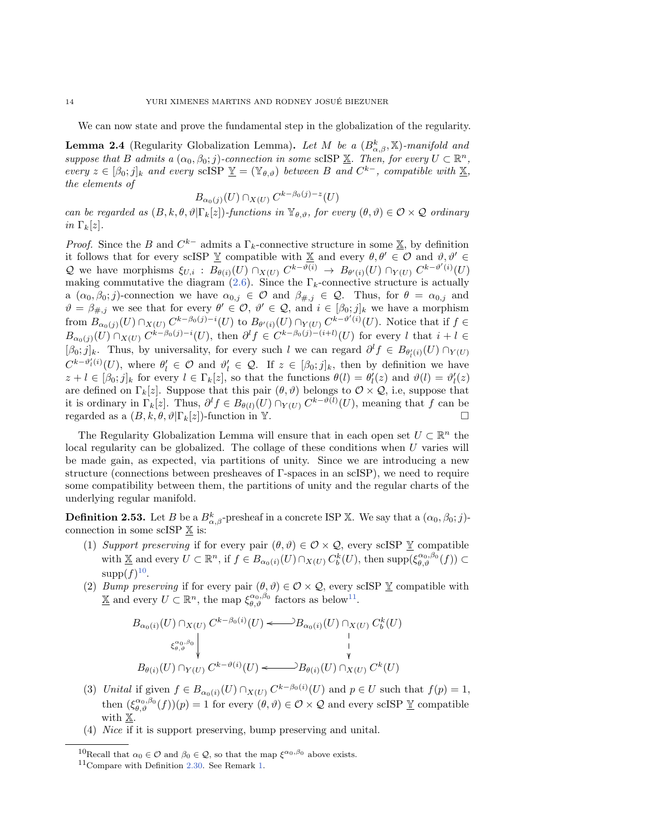<span id="page-13-0"></span>We can now state and prove the fundamental step in the globalization of the regularity.

**Lemma 2.4** (Regularity Globalization Lemma). Let M be a  $(B_{\alpha,\beta}^k, \mathbb{X})$ -manifold and suppose that B admits a  $(\alpha_0, \beta_0; j)$ -connection in some scISP  $\underline{\mathbb X}$ . Then, for every  $U \subset \mathbb R^n$ , every  $z \in [\beta_0; j]_k$  and every scISP  $\underline{Y} = (\mathbb{Y}_{\theta, \vartheta})$  between B and  $C^{k-}$ , compatible with  $\underline{X}$ , the elements of

$$
B_{\alpha_0(j)}(U) \cap_{X(U)} C^{k-\beta_0(j)-z}(U)
$$

can be regarded as  $(B, k, \theta , \vartheta | \Gamma_k[z])$ -functions in  $\mathbb{Y}_{\theta , \vartheta }$ , for every  $(\theta , \vartheta ) \in \mathcal{O} \times \mathcal{Q}$  ordinary in  $\Gamma_k[z]$ .

*Proof.* Since the B and  $C^{k-}$  admits a  $\Gamma_k$ -connective structure in some  $\underline{\mathbb{X}}$ , by definition it follows that for every scISP  $\underline{V}$  c[omp](#page-11-0)atible with  $\underline{X}$  and every  $\theta, \theta' \in \mathcal{O}$  and  $\vartheta, \vartheta' \in \mathcal{O}$ Q we have morphisms  $\xi_{U,i} : B_{\theta (i)}(U) \cap_{X(U)} C^{k - \vartheta (i)} \rightarrow B_{\theta'(i)}(U) \cap_{Y(U)} C^{k - \vartheta'(i)}(U)$ making commutative the diagram (2.6). Since the  $\Gamma_k$ -connective structure is actually a  $(\alpha_0, \beta_0; j)$ -connection we have  $\alpha_{0,j} \in \mathcal{O}$  and  $\beta_{\#,j} \in \mathcal{Q}$ . Thus, for  $\theta = \alpha_{0,j}$  and  $\vartheta = \beta_{\#,j}$  we see that for every  $\theta' \in \mathcal{O}$ ,  $\vartheta' \in \mathcal{Q}$ , and  $i \in [\beta_0; j]_k$  we have a morphism from  $B_{\alpha_0(j)}(U) \cap_{X(U)} C^{k-\beta_0(j)-i}(U)$  to  $B_{\theta'(i)}(U) \cap_{Y(U)} C^{k-\vartheta'(i)}(U)$ . Notice that if  $f \in$  $B_{\alpha_0(j)}(U) \cap_{X(U)} C^{k-\beta_0(j)-i}(U)$ , then  $\partial^l f \in C^{k-\beta_0(j)-(i+l)}(U)$  for every l that  $i + l \in$  $[\beta_0; j]_k$ . Thus, by universality, for every such l we can regard  $\partial^l f \in B_{\theta'_l(i)}(U) \cap_{Y(U)}$  $C^{k-\vartheta'_l(i)}(U)$ , where  $\theta'_l \in \mathcal{O}$  and  $\vartheta'_l \in \mathcal{Q}$ . If  $z \in [\beta_0; j]_k$ , then by definition we have  $z + l \in [\beta_0; j]_k$  for every  $l \in \Gamma_k[z]$ , so that the functions  $\theta(l) = \theta'_l(z)$  and  $\vartheta(l) = \vartheta'_l(z)$ are defined on  $\Gamma_k[z]$ . Suppose that this pair  $(\theta, \vartheta)$  belongs to  $\mathcal{O} \times \mathcal{Q}$ , i.e, suppose that it is ordinary in  $\Gamma_k[z]$ . Thus,  $\partial^l f \in B_{\theta(l)}(U) \cap_{Y(U)} C^{k - \vartheta(l)}(U)$ , meaning that f can be regarded as a  $(B, k, \theta, \vartheta | \Gamma_k[z])$ -function in Y.

The Regularity Globalization Lemma will ensure that in each open set  $U \subset \mathbb{R}^n$  the local regularity can be globalized. The collage of these conditions when  $U$  varies will be made gain, as expected, via partitions of unity. Since we are introducing a new structure (connections between presheaves of  $\Gamma$ -spaces in an scISP), we need to require some compatibility between them, the partitions of unity and the regular charts of the underlying regular manifold.

<span id="page-13-3"></span>**Definition 2.53.** Let B be a  $B^k_{\alpha, \beta}$ -presheaf in a concrete ISP X. We say that a  $(\alpha_0, \beta_0; j)$ connection in some scISP  $\mathbb X$  is:

- (1) Suppor[t pr](#page-13-1)eserving if for every pair  $(\theta, \vartheta) \in \mathcal{O} \times \mathcal{Q}$ , every scISP  $\underline{Y}$  compatible with  $\underline{\mathbb X}$  and every  $U \subset \mathbb R^n$ , if  $f \in B_{\alpha_0(i)}(U) \cap_{X(U)} C_b^k(U)$ , then  $\text{supp}(\xi_{\theta, \vartheta}^{\alpha_0, \beta_0}(f)) \subset$  $\text{supp}(f)^{10}$ .
- (2) Bump preserving if for every pair  $(\theta , \vartheta ) \in \mathcal{O} \times \mathcal{Q}$ , eve[ry s](#page-13-2)cISP  $\underline{Y}$  compatible with  $\underline{\mathbb X}$  and every  $U \subset \mathbb R^n$ , the map  $\xi_{\theta, \vartheta}^{\alpha_0, \beta_0}$  factors as below<sup>11</sup>.

$$
B_{\alpha_0(i)}(U) \cap_{X(U)} C^{k-\beta_0(i)}(U) \longleftrightarrow B_{\alpha_0(i)}(U) \cap_{X(U)} C_b^k(U)
$$
  
\n
$$
\begin{array}{c} \xi_{\theta,\vartheta}^{\alpha_0,\beta_0} \downarrow & \downarrow \\ \xi_{\theta,\vartheta}^{\alpha_0,\beta_0} \downarrow & \downarrow \\ B_{\theta(i)}(U) \cap_{Y(U)} C^{k-\vartheta(i)}(U) \longleftrightarrow B_{\theta(i)}(U) \cap_{X(U)} C^k(U) \end{array}
$$

- (3) Unital if given  $f \in B_{\alpha_0(i)}(U) \cap_{X(U)} C^{k \beta_0(i)}(U)$  and  $p \in U$  such that  $f(p) = 1$ , then  $(\xi_{\theta, \vartheta}^{\alpha_0, \beta_0}(f))(p) = 1$  for every  $(\theta, \vartheta) \in \mathcal{O} \times \mathcal{Q}$  and every scISP  $\underline{Y}$  compatible with  $\mathbb{X}$ .
- <span id="page-13-2"></span><span id="page-13-1"></span>(4) Nice if it is support preserving, bump preserving and unital.

<sup>&</sup>lt;sup>10</sup>Recall that  $\alpha_0 \in \mathcal{O}$  and  $\beta_0 \in \mathcal{Q}$ , so that the map  $\zeta^{\alpha_0,\beta_0}$  above exists.

<sup>11</sup>Compare with Definition 2.30. See Remark 1.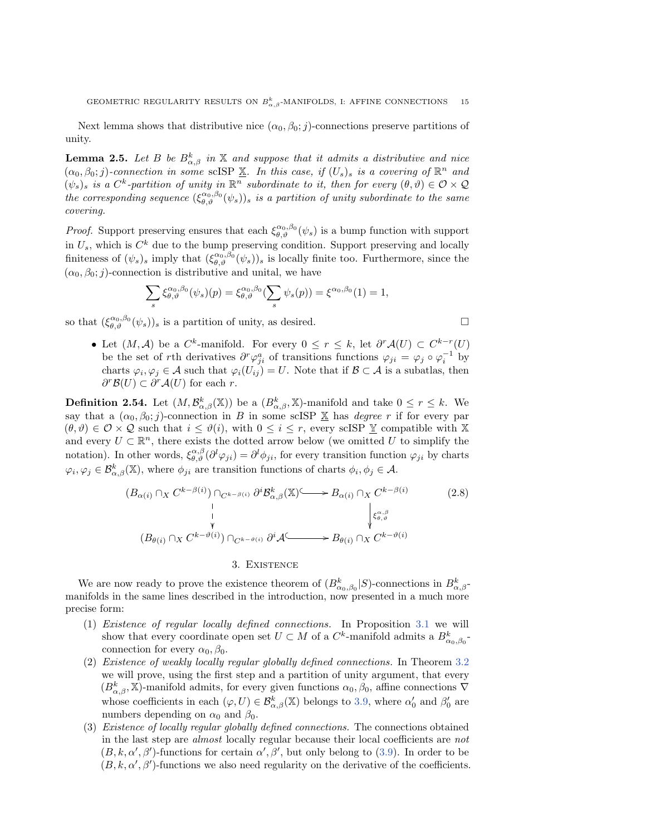<span id="page-14-1"></span>Next lemma shows that distributive nice  $(\alpha_0, \beta_0; j)$ -connections preserve partitions of unity.

**Lemma 2.5.** Let B be  $B_{\alpha,\beta}^k$  in  $\Bbb{X}$  and suppose that it admits a distributive and nice  $(\alpha_0, \beta_0; j)$ -connection in some scISP  $\underline{\mathbb{X}}$ . In this case, if  $(U_s)$  is a covering of  $\mathbb{R}^n$  and  $(\psi_s)_s$  is a  $C^k$ -partition of unity in  $\mathbb{R}^n$  subordinate to it, then for every  $(\theta, \vartheta) \in \mathcal{O} \times \mathcal{Q}$ the corresponding sequence  $(\xi_{\theta, \vartheta}^{\alpha_0, \beta_0} (\psi_s))_s$  is a partition of unity subordinate to the same covering.

*Proof.* Support preserving ensures that each  $\xi_{\theta, \vartheta}^{\alpha_0, \beta_0} (\psi_s)$  is a bump function with support in  $U_s$ , which is  $C^k$  due to the bump preserving condition. Support preserving and locally finiteness of  $(\psi_s)_s$  imply that  $(\xi_{\theta, \vartheta}^{\alpha_0, \beta_0} (\psi_s))_s$  is locally finite too. Furthermore, since the  $(\alpha_0, \beta_0; j)$ -connection is distributive and unital, we have

$$
\sum_{s} \xi_{\theta,\vartheta}^{\alpha_0,\beta_0}(\psi_s)(p) = \xi_{\theta,\vartheta}^{\alpha_0,\beta_0}(\sum_{s} \psi_s(p)) = \xi^{\alpha_0,\beta_0}(1) = 1,
$$

so that  $(\xi_{\theta, \vartheta}^{\alpha_0, \beta_0} (\psi_s))_s$  is a partition of unity, as desired.  $\Box$ 

• Let  $(M, \mathcal{A})$  be a  $C^k$ -manifold. For every  $0 \leq r \leq k$ , let  $\partial^r \mathcal{A}(U) \subset C^{k-r}(U)$ be the set of rth derivatives  $\partial^r \varphi_{ji}^a$  of transitions functions  $\varphi_{ji} = \varphi_j \circ \varphi_i^{-1}$  by charts  $\varphi_i, \varphi_j \in \mathcal{A}$  such that  $\varphi_i(U_{ij}) = U$ . Note that if  $\mathcal{B} \subset \mathcal{A}$  is a subatlas, then  $\partial^r \mathcal{B}(U) \subset \partial^r \mathcal{A}(U)$  for each r.

**Definition 2.54.** Let  $(M, \mathcal{B}_{\alpha, \beta}^k(\mathbb{X}))$  be a  $(B_{\alpha, \beta}^k, \mathbb{X})$ -manifold and take  $0 \leq r \leq k$ . We say that a  $(\alpha_0, \beta_0; j)$ -connection in B in some scISP  $\underline{\mathbb{X}}$  has degree r if for every par  $(\theta , \vartheta ) \in \mathcal{O} \times \mathcal{Q}$  such that  $i \leq \vartheta (i),$  with  $0 \leq i \leq r$ , every scISP  $\Bbb{Y}$  compatible with X and every  $U \subset \mathbb{R}^n$ , there exists the dotted arrow below (we omitted U to simplify the notation). In other words,  $\xi_{\theta, \vartheta}^{\alpha, \beta} (\partial^l \varphi_{ji}) = \partial^l \phi_{ji}$ , for every transition function  $\varphi_{ji}$  by charts  $\varphi_i, \varphi_j \in \mathcal{B}_{\alpha,\beta}^k(\mathbb{X}),$  where  $\phi_{ji}$  are transition functions of charts  $\phi_i, \phi_j \in \mathcal{A}.$ 

$$
(B_{\alpha(i)} \cap_X C^{k-\beta(i)}) \cap_{C^{k-\beta(i)}} \partial^i \mathcal{B}_{\alpha,\beta}^k(\mathbb{X})^{\mathcal{L}} \longrightarrow B_{\alpha(i)} \cap_X C^{k-\beta(i)} \qquad (2.8)
$$
  
\n
$$
\downarrow \qquad \qquad \downarrow \qquad \qquad \downarrow \qquad \qquad \downarrow \qquad \qquad \downarrow \qquad \qquad \downarrow \qquad \qquad \downarrow \qquad \qquad \downarrow \qquad \qquad \downarrow \qquad \qquad \downarrow \qquad \qquad \downarrow \qquad \qquad \downarrow \qquad \downarrow \qquad \downarrow \qquad \downarrow \qquad \qquad \downarrow \qquad \downarrow \qquad \downarrow \qquad \downarrow \qquad \downarrow \qquad \downarrow \qquad \downarrow \qquad \downarrow \qquad \downarrow \qquad \downarrow \qquad \downarrow \qquad \downarrow \qquad \downarrow \qquad \downarrow \qquad \downarrow \qquad \downarrow \qquad \downarrow \qquad \downarrow \qquad \downarrow \qquad \downarrow \qquad \downarrow \qquad \downarrow \qquad \downarrow \qquad \downarrow \qquad \downarrow \qquad \downarrow \qquad \downarrow \qquad \downarrow \qquad \downarrow \qquad \downarrow \qquad \downarrow \qquad \downarrow \qquad \downarrow \qquad \downarrow \qquad \downarrow \qquad \downarrow \qquad \downarrow \qquad \downarrow \qquad \downarrow \qquad \downarrow \qquad \downarrow \qquad \downarrow \qquad \downarrow \qquad \downarrow \qquad \downarrow \qquad \downarrow \qquad \downarrow \qquad \downarrow \qquad \downarrow \qquad \downarrow \qquad \downarrow \qquad \downarrow \qquad \downarrow \qquad \downarrow \qquad \downarrow \qquad \downarrow \qquad \downarrow \qquad \downarrow \qquad \downarrow \qquad \downarrow \qquad \downarrow \qquad \downarrow \qquad \downarrow \qquad \downarrow \qquad \downarrow \qquad \downarrow \qquad \downarrow \qquad \downarrow \qquad \downarrow \qquad \downarrow \qquad \downarrow \qquad \downarrow \qquad \downarrow \qquad \downarrow \qquad \downarrow \qquad \downarrow \qquad \downarrow \qquad \downarrow \qquad \downarrow \qquad \downarrow \qquad \downarrow \qquad \downarrow \qquad \downarrow \qquad \downarrow \qquad \downarrow \qquad \downarrow \qquad \downarrow \qquad \downarrow \qquad \downarrow \qquad \downarrow \qquad \
$$

#### 3. Existence

<span id="page-14-0"></span>We are now ready to prove the existence theorem of  $(B^k_{\alpha_0,\beta_0}|S)$ -connections in  $B^k_{\alpha,\beta}$ manifolds in the same lines described in the introduction, now presented in [a mu](#page-15-0)ch more precise form:

- (1) Existence of regular locally defined connections. In Proposition 3.1 we will show that every coordinate open set  $U \subset M$  of a  $C^k$ -manifold admits a  $B^k_{\alpha_0,\beta_0}$ connection for every  $\alpha_0, \beta_0$ .
- (2) Existence of weakly locally regular globally defined connections. In Theorem 3.2 we will prove, using the first step and a partition of u[nity](#page-15-2) argument, that every  $(B_{\alpha, \beta}^k, \mathbb{X})$ -manifold admits, for every given functions  $\alpha_0, \beta_0$ , affine connections  $\nabla$ whose coefficients in each  $(\varphi, U) \in \mathcal{B}^k_{\alpha, \beta}(\mathbb{X})$  belongs to 3.9, where  $\alpha'_0$  and  $\beta'_0$  are numbers depending on  $\alpha_0$  and  $\beta_0$ .
- (3) Existence of locally regular globally defined connections. The [conn](#page-15-2)ections obtained in the last step are almost locally regular because their local coefficients are not  $(B, k, \alpha', \beta')$ -functions for certain  $\alpha', \beta'$ , but only belong to (3.9). In order to be  $(B, k, \alpha', \beta')$ -functions we also need regularity on the derivative of the coefficients.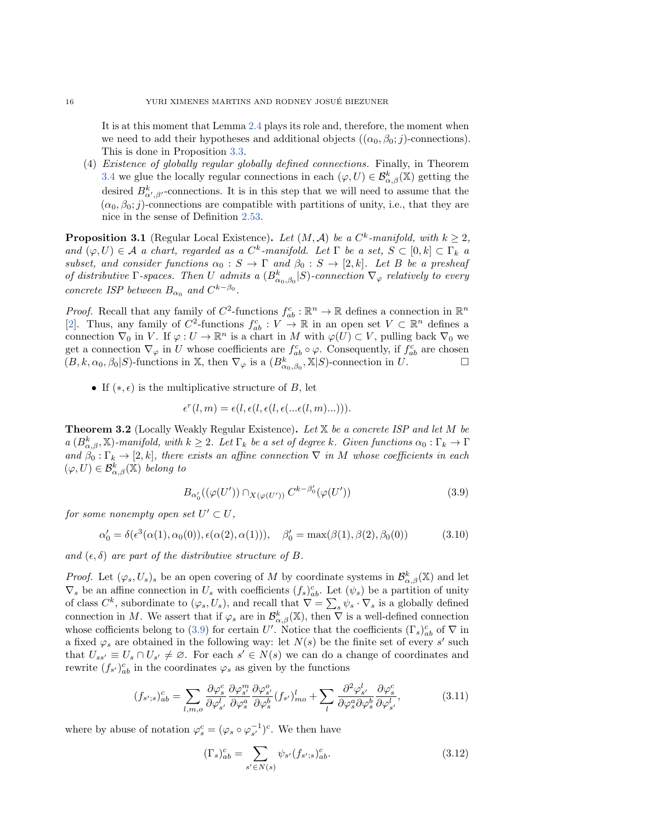It is at this moment that Le[mma](#page-16-1) 2.4 plays its role and, therefore, the moment when we need to add their hypotheses and additional objects  $((\alpha_0, \beta_0; j)$ -connections). [Thi](#page-16-0)s is done in Proposition 3.3.

(4) Existence of globally regular globally defined connections. Finally, in Theorem 3.4 we glue the locally regular connections in each  $(\varphi, U) \in \mathcal{B}_{\alpha, \beta}^k(\mathbb{X})$  getting the desired  $B^k_{\alpha',\beta'}$ -connections. It [is in t](#page-13-3)his step that we will need to assume that the  $(\alpha_0, \beta_0; j)$ -connections are compatible with partitions of unity, i.e., that they are nice in the sense of Definition 2.53.

<span id="page-15-0"></span>**Proposition 3.1** (Regular Local Existence). Let  $(M, \mathcal{A})$  be a  $C^k$ -manifold, with  $k \geq 2$ , and  $(\varphi, U) \in \mathcal{A}$  a chart, regarded as a  $C^k$ -manifold. Let  $\Gamma$  be a set,  $S \subset [0, k] \subset \Gamma_k$  a subset, and consider functions  $\alpha_0 : S \rightarrow \Gamma$  and  $\beta_0 : S \rightarrow [2, k]$ . Let B be a presheaf of distributive  $\Gamma$ -spaces. Then U admits a  $(B_{\alpha_0,\beta_0}^k | S)$ -connection  $\nabla_\varphi$  relatively to every concrete ISP between  $B_{\alpha_0}$  and  $C^{k-\beta_0}$ .

*Proof.* Recall that any family of  $C^2$ -functions  $f_a^c : \mathbb{R}^n \to \mathbb{R}$  defines a connection in  $\mathbb{R}^n$ [2]. Thus, any family of  $C^2$ -functions  $f_{ab}^c : V \to \mathbb{R}$  in an open set  $V \subset \mathbb{R}^n$  defines a connection  $\nabla_0$  in V. If  $\varphi : U \to \Bbb R^n$  is a chart in M with  $\varphi (U) \subset V$ , pulling back  $\nabla_0$  we get a connection  $\nabla_\varphi$  in U whose coefficients are  $f_{ab}^c \circ \varphi$ . Consequently, if  $f_{ab}^c$  are chosen  $(B, k, \alpha_0, \beta_0 | S)$ -functions in X, then  $\nabla_\varphi$  is a  $(B^k_{\alpha_0, \beta_0}, \mathbb{X} | S)$ -connection in U.

• If  $(\ast, \epsilon)$  is the multiplicative structure of B, let

$$
\epsilon^r(l,m) = \epsilon(l, \epsilon(l, \epsilon(l, \epsilon(\ldots \epsilon(l, m) \ldots))).
$$

<span id="page-15-1"></span>**Theorem 3.2** (Locally Weakly Regular Existence). Let  $\mathbb{X}$  be a concrete ISP and let M be  $a (B_{\alpha, \beta}^k, \mathbb{X})$ -manifold, with  $k \geq 2$ . Let  $\Gamma_k$  be a set of degree k. Given functions  $\alpha_0 : \Gamma_k \to \Gamma$ and  $\beta_0 : \Gamma_k \rightarrow [2, k]$ , there exists an affine connection  $\nabla$  in M whose coefficients in each  $(\varphi , U) \in \mathcal{B}^k_{\alpha, \beta} (\mathbb{X})$  belong to

<span id="page-15-2"></span>
$$
B_{\alpha'_0}((\varphi(U')) \cap_{X(\varphi(U'))} C^{k-\beta'_0}(\varphi(U')) \tag{3.9}
$$

for some nonempty open set  $U' \subset U$ ,

$$
\alpha'_0 = \delta(\epsilon^3(\alpha(1), \alpha_0(0)), \epsilon(\alpha(2), \alpha(1))), \quad \beta'_0 = \max(\beta(1), \beta(2), \beta_0(0))
$$
 (3.10)

and  $(\epsilon, \delta)$  are part of the distributive structure of B.

*Proof.* Let  $(\varphi_s, U_s)_s$  be an open covering of M by coordinate systems in  $\mathcal{B}^k_{\alpha,\beta}(\mathbb{X})$  and let  $\nabla_s$  be an affine connection in  $U_s$  with coefficients  $(f_s)^c_{ab}$ . Let  $(\psi_s)$  be a partition of unity of class  $C^k$ , subordinate to  $(\varphi_s, U_s)$ , and recall that  $\nabla = \sum_s \psi_s \cdot \nabla_s$  is a globally defined connection in M. We assert that if  $\varphi_s$  are in  $\mathcal{B}^k_{\alpha,\beta}(\mathbb{X})$ , then  $\overline{\nabla}$  is a well-defined connection whose cofficients belong to (3.9) for certain U'. Notice that the coefficients  $(\Gamma_s)_{ab}^c$  of  $\nabla$  in a fixed  $\varphi_s$  are obtained in the following way: let  $N(s)$  be the finite set of every s' such that  $U_{ss'} \equiv U_s \cap U_{s'} \neq \emptyset$ . For each  $s' \in N(s)$  we can do a change of coordinates and rewrite  $(f_{s'})_{ab}^c$  in the coordinates  $\varphi_s$  as given by the functions

<span id="page-15-3"></span>
$$
(f_{s';s})^c_{ab} = \sum_{l,m,o} \frac{\partial \varphi^c_s}{\partial \varphi^l_{s'}} \frac{\partial \varphi^m_{s'}}{\partial \varphi^a_s} \frac{\partial \varphi^o_{s'}}{\partial \varphi^b_s} (f_{s'})^l_{mo} + \sum_l \frac{\partial^2 \varphi^l_{s'}}{\partial \varphi^a_s \partial \varphi^b_s} \frac{\partial \varphi^c_{s'}}{\partial \varphi^l_{s'}},
$$
(3.11)

where by abuse of notation  $\varphi_s^c = (\varphi_s \circ \varphi_{s'}^{-1})^c$ . We then have

<span id="page-15-4"></span>
$$
(\Gamma_s)^c_{ab} = \sum_{s' \in N(s)} \psi_{s'} (f_{s';s})^c_{ab}.
$$
\n(3.12)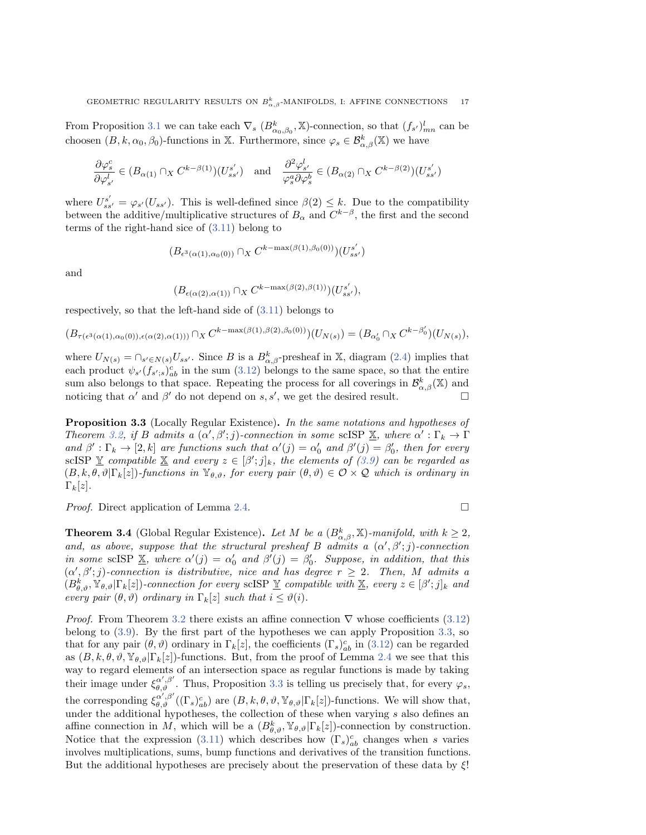From Proposition 3.1 we can take each  $\nabla_s (B^k_{\alpha_0,\beta_0}, \mathbb{X})$ -connection, so that  $(f_{s'})^l_{mn}$  can be choosen  $(B, k, \alpha_0, \beta_0)$ -functions in X. Furthermore, since  $\varphi_s \in \mathcal{B}^k_{\alpha, \beta}(\Bbb X)$  we have

$$
\frac{\partial \varphi_s^c}{\partial \varphi_{s'}^l} \in (B_{\alpha(1)} \cap_X C^{k-\beta(1)})(U_{ss'}^{s'}) \quad \text{and} \quad \frac{\partial^2 \varphi_{s'}^l}{\varphi_s^a \partial \varphi_s^b} \in (B_{\alpha(2)} \cap_X C^{k-\beta(2)})(U_{ss'}^{s'})
$$

where $U_{ss'}^{s'} = \varphi_{s'}(U_{ss'})$ . This i[s well](#page-15-3)-defined since  $\beta(2) \leq k$ . Due to the compatibility between the additive/multiplicative structures of  $B_\alpha$  and  $C^{k-\beta}$ , the first and the second terms of the right-hand sice of (3.11) belong to

$$
(B_{\epsilon^3(\alpha(1),\alpha_0(0))} \cap_X C^{k-\max(\beta(1),\beta_0(0))})(U_{ss'}^{s'})
$$

and

$$
(B_{\epsilon(\alpha(2),\alpha(1))}\cap_X C^{k-\max(\beta(2),\beta(1))})(U_{ss'}^{s'}),
$$

respectively, so that the left-hand side of (3.11) belongs to

$$
(B_{\tau(\epsilon^3(\alpha(1),\alpha_0(0)),\epsilon(\alpha(2),\alpha(1)))}\cap_X C^{k-\max(\beta(1),\beta(2),\beta_0(0))})(U_{N(s)})=(B_{\alpha'_0}\cap_X C^{k-\beta'_0})(U_{N(s)}),
$$

where  $U_{N(s)} = \bigcap_{s' \in N(s)} U_{ss'}$ . Since B [is a](#page-15-4)  $B_{\alpha,\beta}^k$ -presheaf in X, diagram (2.4) implies that each product  $\psi_{s'}(f_{s';s})_{ab}^c$  in the sum (3.12) belongs to the same space, so that the entire sum also belongs to that space. Repeating the process for all coverings in  $\mathcal{B}^k_{\alpha,\beta}(\mathbb{X})$  and noticing that  $\alpha'$  and  $\beta'$  do not depend on s, s', we get the desired result.

<span id="page-16-1"></span>Proposi[tion](#page-15-1) 3.3 (Locally Regular Existence). In the same notations and hypotheses of Theorem 3.2, if B admits a  $(\alpha', \beta'; j)$ -connection in some scIS[P](#page-15-2)  $\underline{\mathbb{X}}$ , where  $\alpha' : \Gamma_k \to \Gamma$ and  $\beta' : \Gamma_k \to [2, k]$  are functions such that  $\alpha'(j) = \alpha'_0$  and  $\beta'(j) = \beta'_0$ , then for every scISP  $\underline{Y}$  compatible  $\underline{X}$  and every  $z \in [\beta'; j]_k$ , the elements of  $(\beta.9)$  can be regarded as  $(B, k, \theta , \vartheta | \Gamma_k[z])$ -functions in  $\mathbb{Y}_{\theta, \vartheta}$ , [for e](#page-13-0)very pair  $(\theta, \vartheta) \in \mathcal{O} \times \mathcal{Q}$  which is ordinary in  $\Gamma_k[z]$ .

<span id="page-16-0"></span>*Proof.* Direct application of Lemma  $2.4$ .

$$
\qquad \qquad \Box
$$

**Theorem 3.4** (Global Regular Existence). Let M be a  $(B_{\alpha,\beta}^k, \mathbb{X})$ -manifold, with  $k \geq 2$ , and, as above, suppose that the structural presheaf B admits a  $(\alpha', \beta'; j)$ -connection in some scISP  $\underline{\mathbb{X}}$ , where  $\alpha'(j) = \alpha'_0$  and  $\beta'(j) = \beta'_0$ . Suppose, in addition, that this  $(\alpha', \beta'; j)$ -connection is distributive, nice and has degree  $r \geq 2$ . Then, M admits a  $(B_{\theta ,\vartheta }^{k},\mathbb{Y}_{\theta ,\vartheta }|\Gamma_{k}[z])$  $(B_{\theta ,\vartheta }^{k},\mathbb{Y}_{\theta ,\vartheta }|\Gamma_{k}[z])$  $(B_{\theta ,\vartheta }^{k},\mathbb{Y}_{\theta ,\vartheta }|\Gamma_{k}[z])$ -connection for every scISP  $\underline{\mathbb{Y}}$  compatible with  $\underline{\mathbb{X}}$ , every  $z \in [\beta';j]_{k}$  and every pair  $(\theta , \vartheta )$  ordin[ary i](#page-15-1)n  $\Gamma_k[z]$  such that  $i \leq \vartheta (i)$ .

*Proof.* Fro[m T](#page-15-2)heorem 3.2 there exists an affine connection  $\nabla$  w[hose c](#page-15-4)oefficient[s \(3.](#page-16-1)12) belong to (3.9). By the first part of the hypotheses we can apply [Pro](#page-13-0)position 3.3, so that for any pair  $(\theta , \vartheta )$  ordinary in  $\Gamma_k[z]$ , the coefficients  $(\Gamma_s)_{ab}^c$  in (3.12) can be regarded as  $(B, k, \theta, \vartheta, \Psi_{\theta, \vartheta} | \Gamma_k[z])$ -functions. But, fro[m t](#page-16-1)he proof of Lemma 2.4 we see that this way to regard elements of an intersection space as regular functions is made by taking their image under  $\xi_{\theta, \theta}^{\alpha', \beta'}$ . Thus, Proposition 3.3 is telling us precisely that, for every  $\varphi_s$ , the corresponding  $\xi_{\theta, \vartheta}^{\alpha', \beta'}((\Gamma_s)_{ab}^c)$  are  $(B, k, \theta, \vartheta, \mathbb{Y}_{\theta, \vartheta} | \Gamma_k[z])$ -functions. We will show that, under the additional hypoth[eses,](#page-15-3) the collection of these when varying  $s$  also defines an affine connection in M, which will be a  $(B_{\theta, \vartheta}^k, \mathbb{Y}_{\theta, \vartheta} | \Gamma_k[z])$ -connection by construction. Notice that the expression (3.11) which describes how  $(\Gamma_s)_{ab}^c$  changes when s varies involves multiplications, sums, bump functions and derivatives of the transition functions. But the additional hypotheses are precisely about the preservation of these data by  $\mathcal{E}$ !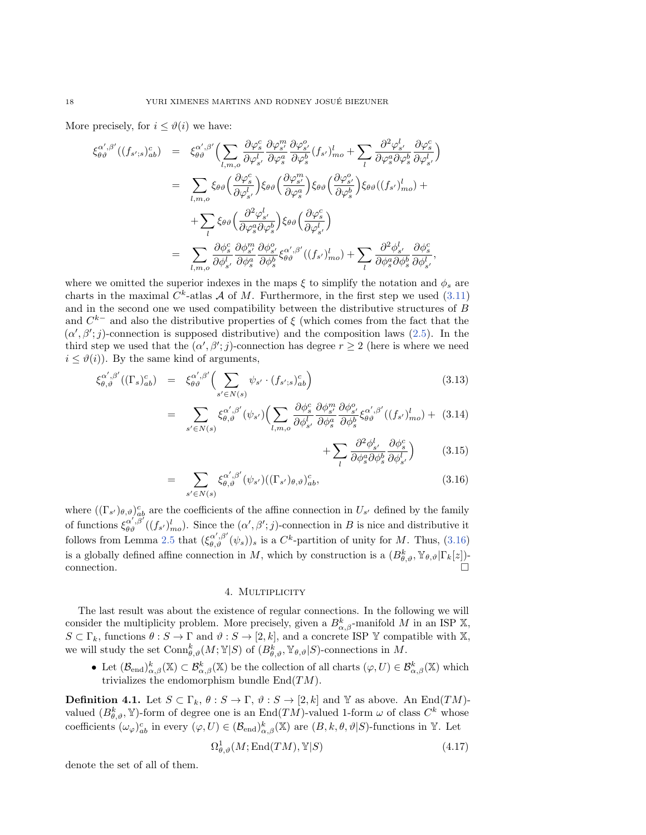More precisely, for  $i \leq \vartheta (i)$  we have:

=

=

$$
\xi_{\theta\vartheta}^{\alpha',\beta'}((f_{s';s})_{ab}^c) = \xi_{\theta\vartheta}^{\alpha',\beta'}\Big(\sum_{l,m,o}\frac{\partial\varphi_{s}^c}{\partial\varphi_{s'}^l}\frac{\partial\varphi_{s'}^m}{\partial\varphi_{s}^a}\frac{\partial\varphi_{s'}^o}{\partial\varphi_{s}^b}(f_{s'})_{mo}^l + \sum_{l}\frac{\partial^2\varphi_{s'}^l}{\partial\varphi_{s}^a\partial\varphi_{s}^b}\frac{\partial\varphi_{s'}^c}{\partial\varphi_{s'}^l}\Big)
$$
  
\n
$$
= \sum_{l,m,o}\xi_{\theta\theta}\Big(\frac{\partial\varphi_{s}^c}{\partial\varphi_{s'}^l}\Big)\xi_{\theta\theta}\Big(\frac{\partial\varphi_{s'}^m}{\partial\varphi_{s}^a}\Big)\xi_{\theta\theta}\Big(\frac{\partial\varphi_{s'}^o}{\partial\varphi_{s}^b}\Big)\xi_{\theta\theta}((f_{s'})_{mo}^l) + \sum_{l}\xi_{\theta\theta}\Big(\frac{\partial^2\varphi_{s'}^l}{\partial\varphi_{s}^a\partial\varphi_{s}^b}\Big)\xi_{\theta\theta}\Big(\frac{\partial\varphi_{s}^c}{\partial\varphi_{s'}^l}\Big)
$$
  
\n
$$
= \sum_{l,m,o}\frac{\partial\varphi_{s}^c}{\partial\varphi_{s'}^l}\frac{\partial\varphi_{s'}^m}{\partial\varphi_{s}^b}\frac{\partial\varphi_{s'}^o}{\partial\varphi_{s}^b}\xi_{\theta\vartheta}^{\alpha',\beta'}((f_{s'})_{mo}^l) + \sum_{l}\frac{\partial^2\varphi_{s'}^l}{\partial\varphi_{s}^a\partial\varphi_{s}^b}\frac{\partial\varphi_{s'}^c}{\partial\varphi_{s'}^l},
$$

where we omitted the superior indexes in the maps  $\xi$  to simplify the notation and  $\phi_s$  [are](#page-15-3) charts in the maximal  $C^k$ -atlas  $\mathcal A$  of M. Furthermore, in the first step we used (3.11) and in the second one we used compatibility between the distributive str[uctu](#page-10-1)res of B and  $C^{k-}$  and also the distributive properties of  $\xi$  (which comes from the fact that the  $(\alpha', \beta'; j)$ -connection is supposed distributive) and the composition laws (2.5). In the third step we used that the  $(\alpha', \beta'; j)$ -connection has degree  $r \geq 2$  (here is where we need  $i \leq \vartheta (i)$ . By the same kind of arguments,

<span id="page-17-1"></span>
$$
\xi_{\theta,\vartheta}^{\alpha',\beta'}((\Gamma_s)_{ab}^c) = \xi_{\theta\vartheta}^{\alpha',\beta'}\Big(\sum_{s'\in N(s)} \psi_{s'} \cdot (f_{s',s})_{ab}^c\Big) \tag{3.13}
$$

$$
\sum_{s' \in N(s)} \xi_{\theta,\vartheta}^{\alpha',\beta'}(\psi_{s'}) \Biggl( \sum_{l,m,o} \frac{\partial \phi_s^c}{\partial \phi_{s'}^l} \frac{\partial \phi_{s'}^m}{\partial \phi_s^a} \frac{\partial \phi_{s'}^o}{\partial \phi_s^b} \xi_{\theta\vartheta}^{\alpha',\beta'}((f_{s'})_{mo}^l) + (3.14)
$$

$$
+\sum_{l}\frac{\partial^2\phi^l_{s'}}{\partial\phi^a_s\partial\phi^b_s}\frac{\partial\phi^c_{s}}{\partial\phi^l_{s'}}\Big)\qquad \quad \ (3.15)
$$

$$
= \sum_{s' \in N(s)} \xi_{\theta,\vartheta}^{\alpha',\beta'}(\psi_{s'})((\Gamma_{s'})_{\theta,\vartheta})_{ab}^c,
$$
\n(3.16)

where $((\Gamma_{s'})_{\theta,\vartheta})_{ab}^c$  ar[e the](#page-14-1) coefficients of the affine connection in  $U_{s'}$  defined by the f[amily](#page-17-1) of functions  $\xi_{\theta \theta}^{\alpha',\bar{\beta}'}((f_{s'})_{mo}^l)$ . Since the  $(\alpha', \beta'; j)$ -connection in B is nice and distributive it follows from Lemma 2.5 that  $(\xi_{\theta, \vartheta}^{\alpha', \beta'}(\psi_s))_s$  is a  $C^k$ -partition of unity for M. Thus, (3.16) is a globally defined affine connection in M, which by construction is a  $(B_{\theta ,\vartheta }^{k},\mathbb{Y}_{\theta ,\vartheta }|\Gamma _{k}[z])$ connection.  $\square$ 

### 4. MULTIPLICITY

<span id="page-17-0"></span>The last result was about the existence of regular connections. In the following we will consider the multiplicity problem. More precisely, given a  $B_{\alpha,\beta}^k$ -manifold M in an ISP X,  $S \subset \Gamma_k$ , functions  $\theta : S \rightarrow \Gamma$  and  $\vartheta : S \rightarrow [2, k]$ , and a concrete ISP  $\Bbb{Y}$  compatible with  $\Bbb{X}$ , we will study the set  $\text{Conn}_{\theta ,\vartheta}^k(M; \mathbb{Y}|S)$  of  $(B_{\theta ,\vartheta}^k, \mathbb{Y}_{\theta ,\vartheta }|S)$ -connections in M.

• Let  $(\mathcal{B}_{\mathrm{end}})_{\alpha,\beta}^k(\mathbb{X}) \subset \mathcal{B}_{\alpha,\beta}^k(\mathbb{X})$  be the collection of all charts  $(\varphi, U) \in \mathcal{B}_{\alpha,\beta}^k(\mathbb{X})$  which trivializes the endomorphism bundle  $\text{End}(TM)$ .

**Definition 4.1.** Let  $S \subset \Gamma_k, \theta : S \rightarrow \Gamma, \vartheta : S \rightarrow [2, k]$  and  $\mathbb{Y}$  as above. An End(TM)valued  $(B_{\theta, \vartheta}^k, \mathbb{Y})$ -form of degree one is an End $(TM)$ -valued 1-form  $\omega$  of class  $C^k$  whose coefficients  $(\omega \varphi)_{ab}^c$  in every  $(\varphi, U) \in (\mathcal{B}_{\mathrm{end}})_{\alpha, \beta}^k(\mathbb{X})$  are  $(B, k, \theta, \vartheta | S)$ -functions in  $\mathbb{Y}$ . Let

<span id="page-17-2"></span>
$$
\Omega_{\theta,\vartheta}^1(M;\mathrm{End}(TM),\mathbb{Y}|S) \tag{4.17}
$$

denote the set of all of them.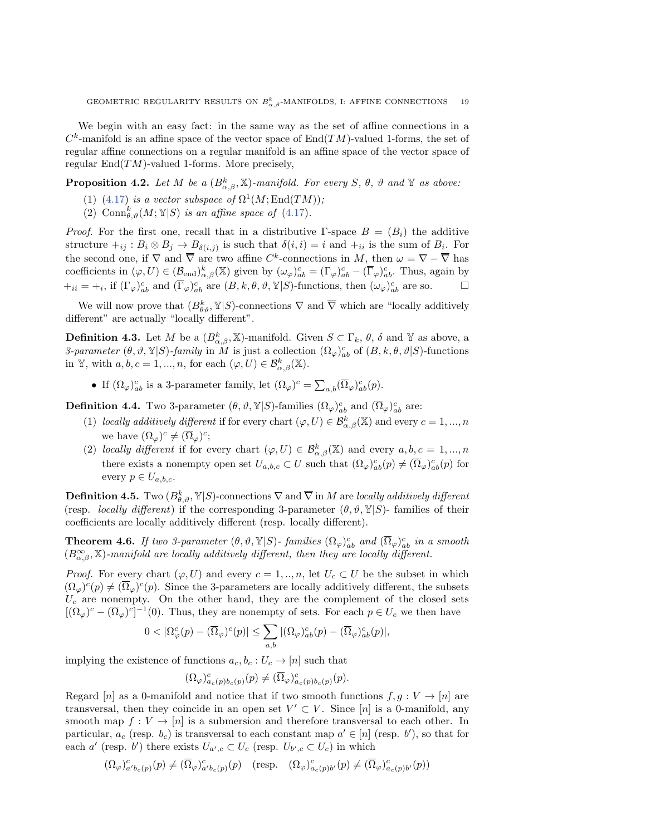We begin with an easy fact: in the same way as the set of affine connections in a  $C<sup>k</sup>$ -manifold is an affine space of the vector space of End(TM)-valued 1-forms, the set of regular affine connections on a regular manifold is an affine space of the vector space of regular  $\text{End}(TM)$ -valued 1-forms. More precisely,

<span id="page-18-0"></span>**Propos[ition](#page-17-2) 4.2.** Let M be a  $(B_{\alpha, \beta}^k, \mathbb{X})$ -manif[old. F](#page-17-2)or every S,  $\theta$ ,  $\vartheta$  and  $\mathbb{Y}$  as above:

- (1) (4.17) is a vector subspace of  $\Omega^1(M;\text{End}(TM));$
- (2) Conn $_{\theta ,\vartheta }^{k}(M; \mathbb{Y}|S)$  is an affine space of (4.17).

*Proof.* For the first one, recall that in a distributive  $\Gamma$ -space  $B = (B_i)$  the additive structure  $+_{ij}$ :  $B_i \otimes B_j \rightarrow B_{\delta (i,j)}$  is such that  $\delta (i,i) = i$  and  $+_{ii}$  is the sum of  $B_i$ . For the second one, if  $\nabla$  and  $\overline{\nabla}$  are two affine C<sup>k</sup>-connections in M, then  $\omega = \nabla - \overline{\nabla}$  has coefficients in  $(\varphi, U) \in (\mathcal{B}_{\mathrm{end}})_{\alpha,\beta}^k(\mathbb{X})$  given by  $(\omega_{\varphi})_{ab}^c = (\Gamma_{\varphi})_{ab}^c - (\overline{\Gamma}_{\varphi})_{ab}^c$ . Thus, again by  $+i_i = +_i$ , if  $(\Gamma_{\varphi})_{ab}^c$  and  $(\overline{\Gamma}_{\varphi})_{ab}^c$  are  $(B, k, \theta, \vartheta, \mathbb{Y}|S)$ -functions, then  $(\omega_{\varphi})_{ab}^c$  are so.

We will now prove that  $(B_{\theta \theta}^k, \mathbb{Y}|S)$ -connections  $\nabla$  and  $\overline{\nabla}$  which are "locally additively different" are actually "locally different".

**Definition 4.3.** Let M be a  $(B_{\alpha, \beta}^k, \mathbb{X})$ -manifold. Given  $S \subset \Gamma_k$ ,  $\theta$ ,  $\delta$  and  $\mathbb{Y}$  as above, a 3-parameter  $(\theta , \vartheta , \mathbb{Y}|S)$ -family in M is just a collection  $(\Omega_{\varphi})^c_{ab}$  of  $(B, k, \theta, \vartheta | S)$ -functions in Y, with  $a, b, c = 1, ..., n$ , for each  $(\varphi, U) \in \mathcal{B}_{\alpha, \beta}^k(\mathbb{X})$ .

• If  $(\Omega \varphi )_{ab}^c$  is a 3-parameter family, let  $(\Omega \varphi )^c = \sum_{a,b} (\overline{\Omega} _{\varphi})_{ab}^c(p)$ .

**Definition 4.4.** Two 3-parameter  $(\theta , \vartheta , \mathbb{Y}|S)$ -families  $(\Omega_{\varphi})_{ab}^c$  and  $(\overline{\Omega}_{\varphi})_{ab}^c$  are:

- (1) locally additively different if for every chart  $(\varphi, U) \in \mathcal{B}_{\alpha, \beta}^k(\mathbb{X})$  and every  $c = 1, ..., n$ we have  $(\Omega_{\varphi})^c \neq (\overline{\Omega}_{\varphi})^c$ ;
- (2) locally different if for every chart  $(\varphi, U) \in \mathcal{B}^k_{\alpha, \beta}(\mathbb{X})$  and every  $a, b, c = 1, ..., n$ there exists a nonempty open set  $U_{a,b,c} \subset U$  such that  $(\Omega_\varphi)_{ab}^c(p) \neq (\overline{\Omega}_\varphi)_{ab}^c(p)$  for every  $p \in U_{a,b,c}.$

<span id="page-18-1"></span>**Definition 4.5.** Two  $(B^k_{\theta ,\vartheta}, \mathbb{Y}|S)$ -connections  $\nabla$  and  $\overline{\nabla}$  in M are locally additively different (resp. *locally different*) if the corresponding 3-parameter  $(\theta, \vartheta, \mathbb{Y} | S)$ - families of their coefficients are locally additively different (resp. locally different).

**Theorem 4.6.** If two 3-parameter  $(\theta , \vartheta , \mathbb{Y}|S)$ - families  $(\Omega_{\varphi})_{ab}^c$  and  $(\overline{\Omega}_{\varphi})_{ab}^c$  in a smooth  $(B_{\alpha,\beta}^{\infty}, \mathbb{X})$ -manifold are locally additively different, then they are locally different.

*Proof.* For every chart  $(\varphi, U)$  and every  $c = 1, ..., n$ , let  $U_c \subset U$  be the subset in which  $(\Omega_{\varphi})^c(p) \neq (\overline{\Omega}_{\varphi})^c(p)$ . Since the 3-parameters are locally additively different, the subsets  $U_c$  are nonempty. On the other hand, they are the complement of the closed sets  $[({\Omega}_{\varphi})^c - (\overline{\Omega}_{\varphi})^c]^{-1}(0)$ . Thus, they are nonempty of sets. For each  $p \in U_c$  we then have

$$
0 < |\Omega^c_\varphi(p) - (\overline{\Omega}_\varphi)^c(p)| \le \sum_{a,b} |(\Omega_\varphi)^c_{ab}(p) - (\overline{\Omega}_\varphi)^c_{ab}(p)|,
$$

implying the existence of functions  $a_c, b_c : U_c \rightarrow [n]$  such that

$$
(\Omega_{\varphi})_{a_c(p)b_c(p)}^c(p) \neq (\overline{\Omega}_{\varphi})_{a_c(p)b_c(p)}^c(p).
$$

Regard [n] as a 0-manifold and notice that if two smooth functions  $f, g: V \rightarrow [n]$  are transversal, then they coincide in an open set  $V' \subset V$ . Since [n] is a 0-manifold, any smooth map  $f: V \rightarrow [n]$  is a submersion and therefore transversal to each other. In particular,  $a_c$  (resp.  $b_c$ ) is transversal to each constant map  $a' \in [n]$  (resp. b'), so that for each a' (resp. b') there exists  $U_{a',c} \subset U_c$  (resp.  $U_{b',c} \subset U_c$ ) in which

$$
(\Omega_{\varphi})^{c}_{a'b_{c}(p)}(p) \neq (\overline{\Omega}_{\varphi})^{c}_{a'b_{c}(p)}(p) \quad (\text{resp.} \quad (\Omega_{\varphi})^{c}_{a_{c}(p)b'}(p) \neq (\overline{\Omega}_{\varphi})^{c}_{a_{c}(p)b'}(p))
$$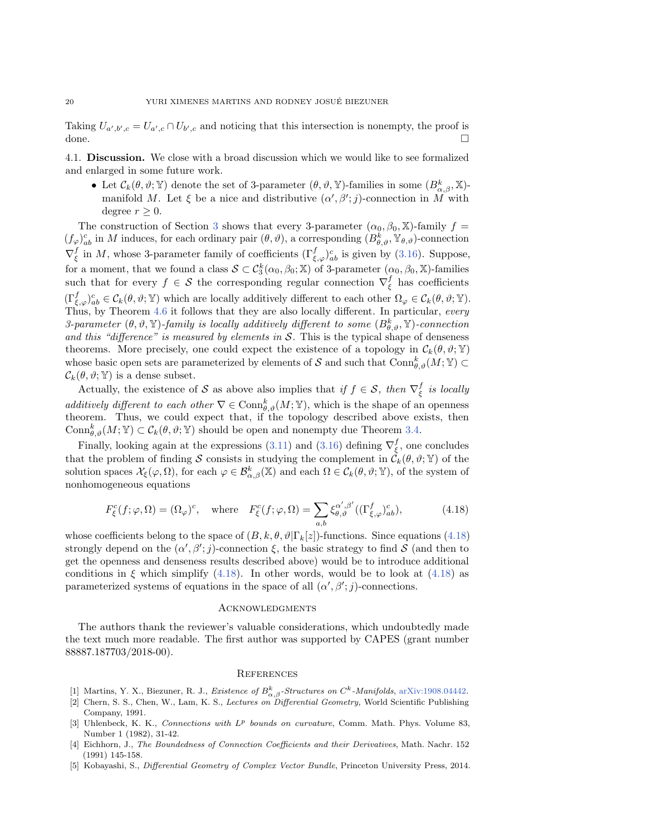Taking  $U_{a',b',c} = U_{a',c} \cap U_{b',c}$  and noticing that this intersection is nonempty, the proof is done.  $\Box$ 

4.1. Discussion. We close with a broad discussion which we would like to see formalized and enlarged in some future work.

• Let  $\mathcal{C}_k(\theta , \vartheta ; \mathbb{Y} )$  denote the set of 3-parameter  $(\theta , \vartheta , \mathbb{Y})$ -families in some  $(B_{\alpha , \beta}^k , \mathbb{X})$ manifold M. Let  $\xi$  be [a](#page-14-0) nice and distributive  $(\alpha', \beta'; j)$ -connection in M with degree  $r \geq 0$ .

The construction of Section 3 shows that every 3-parameter  $(\alpha_0, \beta_0, \mathbb{X})$ -family  $f =$  $(f_\varphi)_{ab}^c$  in M induces, for each ordinary pair  $(\theta , \vartheta )$ , a corresponding  $(B_{\theta , \vartheta }^k, \mathbb{Y}_{\theta , \vartheta })$ -connection  $\nabla_{\xi}^{f}$  in M, whose 3-parameter family of coefficients  $(\Gamma_{\xi,\varphi}^{f})_{ab}^{c}$  is given by (3.16). Suppose, for a moment, that we found a class  $\mathcal{S} \subset \mathcal{C}_3^k(\alpha_0, \beta_0; \mathbb{X})$  of 3-parameter  $(\alpha_0, \beta_0, \mathbb{X})$ -families such that [f](#page-18-1)or every  $f \in \mathcal{S}$  the corresponding regular connection  $\nabla_{\xi}^{f}$  has coefficients  $(\Gamma_{\xi, \varphi})^c_{ab} \in \mathcal{C}_k(\theta, \vartheta; \mathbb{Y})$  which are locally additively different to each other  $\Omega_{\varphi} \in \mathcal{C}_k(\theta, \vartheta; \mathbb{Y})$ . Thus, by Theorem 4.6 it follows that they are also locally different. In particular, every 3-parameter  $(\theta , \vartheta , \mathbb{Y})$ -family is locally additively different to some  $(B_{\theta , \vartheta }^{k}, \mathbb{Y})$ -connection and this "difference" is measured by elements in  $\mathcal S$ . This is the typical shape of denseness theorems. More precisely, one could expect the existence of a topology in  $\mathcal{C}_k(\theta , \vartheta ; \mathbb{Y} )$ whose basic open sets are parameterized by elements of  $\mathcal S$  and such that  $\text{Conn}^k_{\theta, \vartheta}(M; \mathbb Y) \subset$  $\mathcal{C}_k(\theta , \vartheta ; \mathbb{Y})$  is a dense subset.

Actually, the existence of S as above also implies that if  $f \in \mathcal{S}$ , then  $\nabla_{\xi}^{f}$  is locally additively different to each other  $\nabla \in \text{Conn}_{\theta, \vartheta}^k(M; \mathbb{Y})$ , which is the shape [of an](#page-16-0) openness theorem. Thus, we could expect that, if [the t](#page-15-3)opolo[gy de](#page-17-1)scribed above exists, then  $\text{Conn}_{\theta ,\vartheta}^k(M; \mathbb{Y}) \subset \mathcal{C}_k(\theta , \vartheta ; \mathbb{Y})$  should be open and nonempty due Theorem 3.4.

Finally, looking again at the expressions (3.11) and (3.16) defining  $\nabla_{\xi}^{f}$ , one concludes that the problem of finding S consists in studying the complement in  $\mathcal{C}_k(\theta , \vartheta ; \mathbb Y )$  of the solution spaces  $\mathcal{X}_{\xi} (\varphi , \Omega)$ , for each  $\varphi \in \mathcal{B}^k_{\alpha, \beta}(\mathbb{X})$  and each  $\Omega \in \mathcal{C}_k(\theta , \vartheta ; \mathbb{Y})$ , of the system of nonhomogeneous equations

<span id="page-19-4"></span>
$$
F_{\xi}^{c}(f; \varphi, \Omega) = (\Omega_{\varphi})^{c}, \quad \text{where} \quad F_{\xi}^{c}(f; \varphi, \Omega) = \sum_{a,b} \xi_{\theta,\vartheta}^{\alpha',\beta'}((\Gamma_{\xi,\varphi}^{f})_{ab}^{c}), \tag{4.18}
$$

whose coefficients belong to the space of  $(B, k, \theta, \vartheta | \Gamma_k[z])$ -functions. Since equations (4.18) strongly depend on the  $(\alpha', \beta'; j)$ [-conn](#page-19-4)ection  $\xi$ , the basic strategy to find  $S$  (an[d then](#page-19-4) to get the openness and denseness results described above) would be to introduce additional conditions in  $\xi$  which simplify (4.18). In other words, would be to look at (4.18) as parameterized systems of equations in the space of all  $(\alpha', \beta'; j)$ -connections.

## **ACKNOWLEDGMENTS**

The authors thank the reviewer's valuable considerations, which undoubtedly made the text much more readable. The first author was supported by CAPES (grant number 88887.187703/2018-00).

### **REFERENCES**

- <span id="page-19-0"></span>[1] Martins, Y. X., Biezuner, R. J., Existence of  $B_{\alpha,\beta}^k$ -Structures on  $C^k$ -Manifolds, arXiv:1908.04442.
- <span id="page-19-1"></span>[2] Chern, S. S., Chen, W., Lam, K. S., Lectures on Differential Geometry, World Scientific Publishing Company, 1991.
- <span id="page-19-2"></span>[3] Uhlenbeck, K. K., Connections with  $L^p$  bounds on curvature, Comm. Math. Phys. Volume 83, Number 1 (1982), 31-42.
- <span id="page-19-3"></span>[4] Eichhorn, J., The Boundedness of Connection Coefficients and their Derivatives, Math. Nachr. 152 (1991) 145-158.
- [5] Kobayashi, S., Differential Geometry of Complex Vector Bundle, Princeton University Press, 2014.